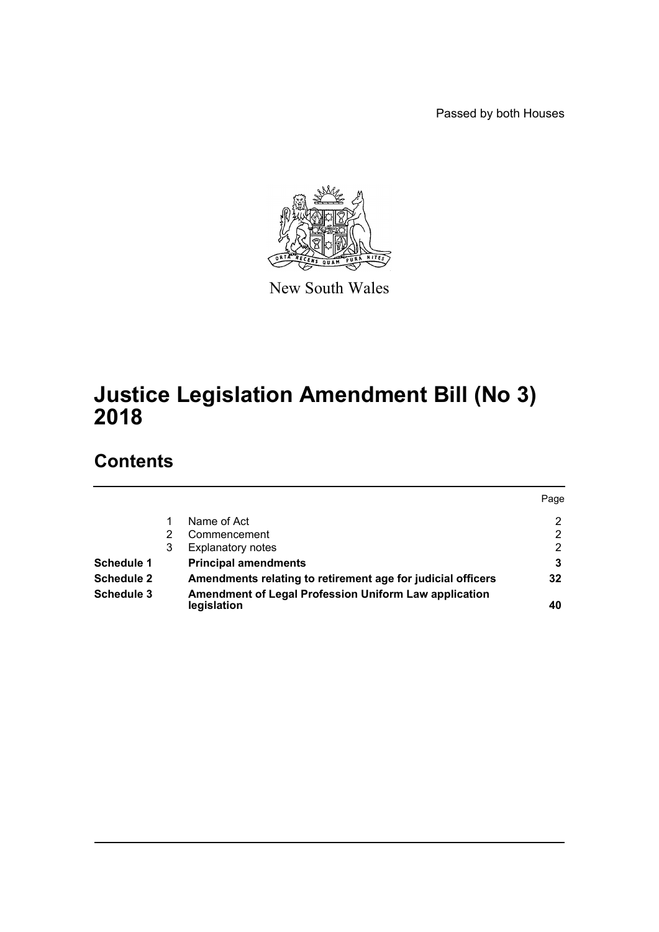Passed by both Houses



New South Wales

# **Justice Legislation Amendment Bill (No 3) 2018**

# **Contents**

|                   |   |                                                                             | Page |
|-------------------|---|-----------------------------------------------------------------------------|------|
|                   |   | Name of Act                                                                 | 2    |
|                   |   | Commencement                                                                | 2    |
|                   | 3 | <b>Explanatory notes</b>                                                    | 2    |
| Schedule 1        |   | <b>Principal amendments</b>                                                 | 3    |
| <b>Schedule 2</b> |   | Amendments relating to retirement age for judicial officers                 | 32   |
| Schedule 3        |   | <b>Amendment of Legal Profession Uniform Law application</b><br>legislation | 40   |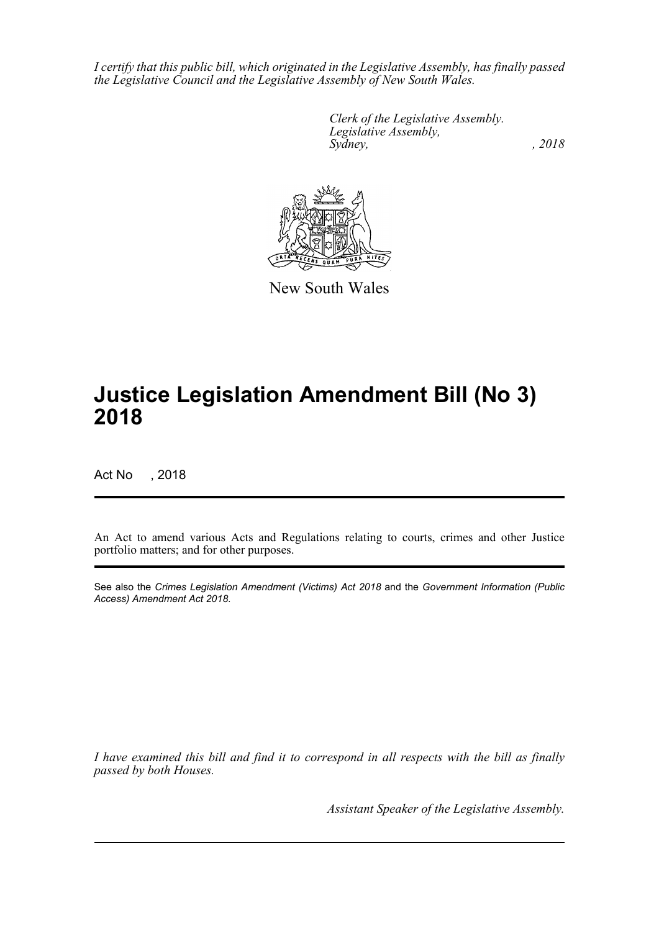*I certify that this public bill, which originated in the Legislative Assembly, has finally passed the Legislative Council and the Legislative Assembly of New South Wales.*

> *Clerk of the Legislative Assembly. Legislative Assembly, Sydney, , 2018*



New South Wales

# **Justice Legislation Amendment Bill (No 3) 2018**

Act No , 2018

An Act to amend various Acts and Regulations relating to courts, crimes and other Justice portfolio matters; and for other purposes.

See also the *Crimes Legislation Amendment (Victims) Act 2018* and the *Government Information (Public Access) Amendment Act 2018*.

*I have examined this bill and find it to correspond in all respects with the bill as finally passed by both Houses.*

*Assistant Speaker of the Legislative Assembly.*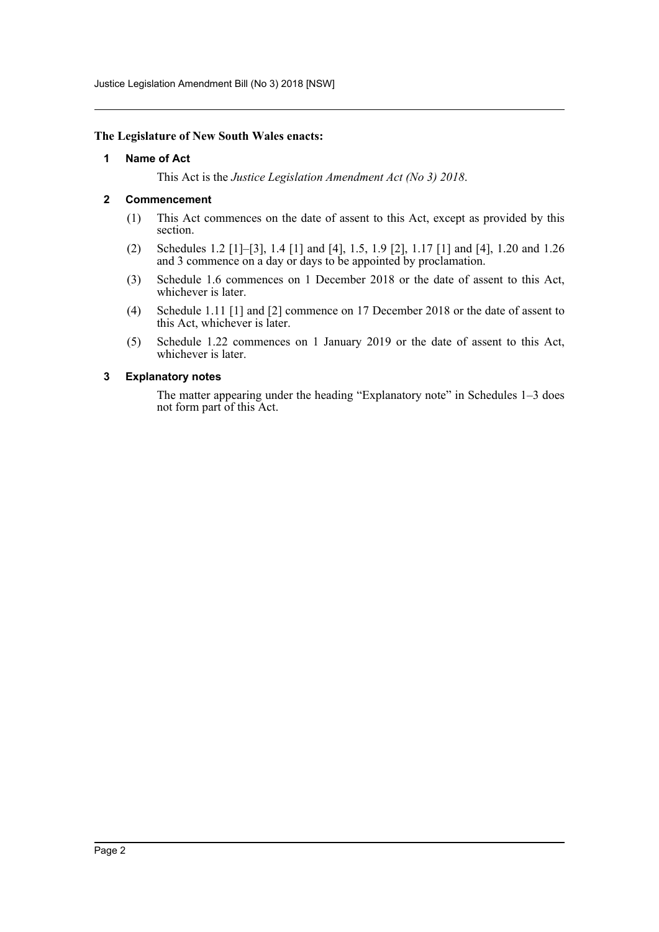Justice Legislation Amendment Bill (No 3) 2018 [NSW]

#### <span id="page-2-0"></span>**The Legislature of New South Wales enacts:**

#### **1 Name of Act**

This Act is the *Justice Legislation Amendment Act (No 3) 2018*.

## <span id="page-2-1"></span>**2 Commencement**

- (1) This Act commences on the date of assent to this Act, except as provided by this section.
- (2) Schedules 1.2 [1]–[3], 1.4 [1] and [4], 1.5, 1.9 [2], 1.17 [1] and [4], 1.20 and 1.26 and 3 commence on a day or days to be appointed by proclamation.
- (3) Schedule 1.6 commences on 1 December 2018 or the date of assent to this Act, whichever is later.
- (4) Schedule 1.11 [1] and [2] commence on 17 December 2018 or the date of assent to this Act, whichever is later.
- (5) Schedule 1.22 commences on 1 January 2019 or the date of assent to this Act, whichever is later.

#### <span id="page-2-2"></span>**3 Explanatory notes**

The matter appearing under the heading "Explanatory note" in Schedules 1–3 does not form part of this Act.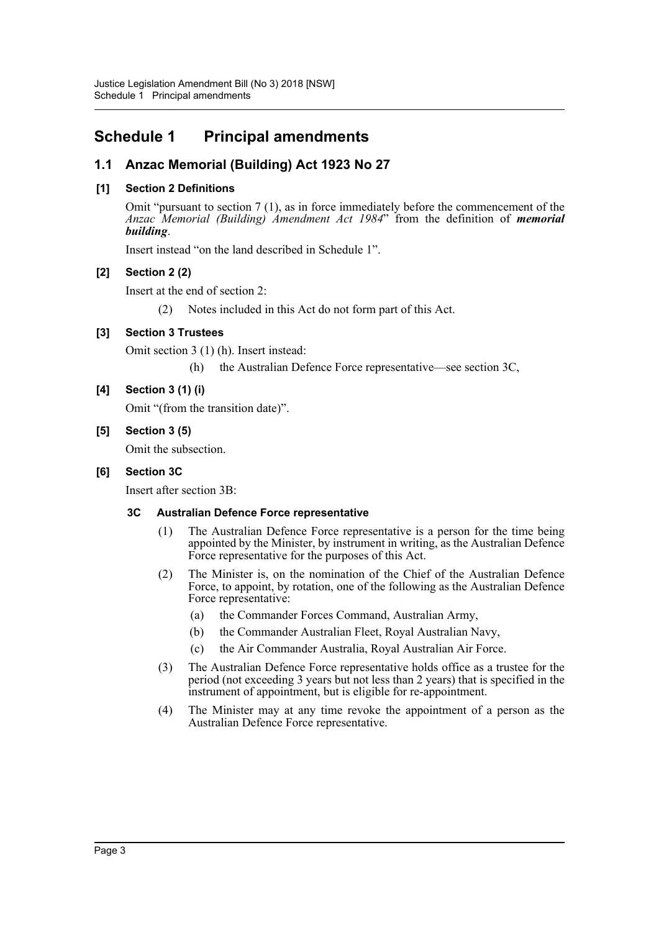# <span id="page-3-0"></span>**Schedule 1 Principal amendments**

# **1.1 Anzac Memorial (Building) Act 1923 No 27**

# **[1] Section 2 Definitions**

Omit "pursuant to section 7 (1), as in force immediately before the commencement of the *Anzac Memorial (Building) Amendment Act 1984*" from the definition of *memorial building*.

Insert instead "on the land described in Schedule 1".

# **[2] Section 2 (2)**

Insert at the end of section 2:

(2) Notes included in this Act do not form part of this Act.

# **[3] Section 3 Trustees**

Omit section 3 (1) (h). Insert instead:

(h) the Australian Defence Force representative—see section 3C,

# **[4] Section 3 (1) (i)**

Omit "(from the transition date)".

## **[5] Section 3 (5)**

Omit the subsection.

# **[6] Section 3C**

Insert after section 3B:

# **3C Australian Defence Force representative**

- (1) The Australian Defence Force representative is a person for the time being appointed by the Minister, by instrument in writing, as the Australian Defence Force representative for the purposes of this Act.
- (2) The Minister is, on the nomination of the Chief of the Australian Defence Force, to appoint, by rotation, one of the following as the Australian Defence Force representative:
	- (a) the Commander Forces Command, Australian Army,
	- (b) the Commander Australian Fleet, Royal Australian Navy,
	- (c) the Air Commander Australia, Royal Australian Air Force.
- (3) The Australian Defence Force representative holds office as a trustee for the period (not exceeding 3 years but not less than 2 years) that is specified in the instrument of appointment, but is eligible for re-appointment.
- (4) The Minister may at any time revoke the appointment of a person as the Australian Defence Force representative.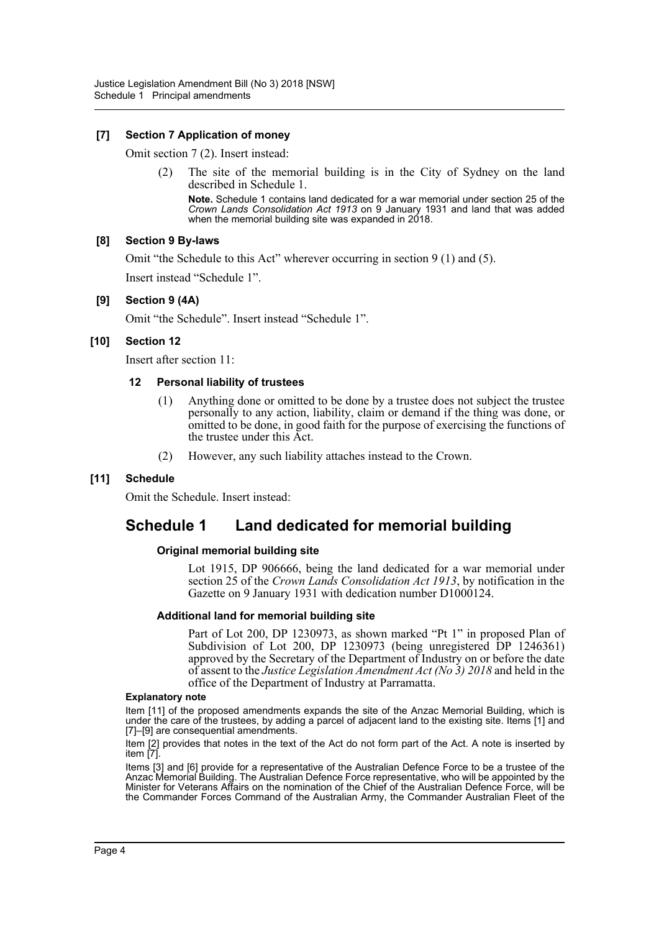## **[7] Section 7 Application of money**

Omit section 7 (2). Insert instead:

(2) The site of the memorial building is in the City of Sydney on the land described in Schedule 1.

**Note.** Schedule 1 contains land dedicated for a war memorial under section 25 of the *Crown Lands Consolidation Act 1913* on 9 January 1931 and land that was added when the memorial building site was expanded in 2018.

## **[8] Section 9 By-laws**

Omit "the Schedule to this Act" wherever occurring in section 9 (1) and (5). Insert instead "Schedule 1".

## **[9] Section 9 (4A)**

Omit "the Schedule". Insert instead "Schedule 1".

## **[10] Section 12**

Insert after section 11:

## **12 Personal liability of trustees**

- (1) Anything done or omitted to be done by a trustee does not subject the trustee personally to any action, liability, claim or demand if the thing was done, or omitted to be done, in good faith for the purpose of exercising the functions of the trustee under this Act.
- (2) However, any such liability attaches instead to the Crown.

## **[11] Schedule**

Omit the Schedule. Insert instead:

# **Schedule 1 Land dedicated for memorial building**

## **Original memorial building site**

Lot 1915, DP 906666, being the land dedicated for a war memorial under section 25 of the *Crown Lands Consolidation Act 1913*, by notification in the Gazette on 9 January 1931 with dedication number D1000124.

## **Additional land for memorial building site**

Part of Lot 200, DP 1230973, as shown marked "Pt 1" in proposed Plan of Subdivision of Lot 200, DP 1230973 (being unregistered DP 1246361) approved by the Secretary of the Department of Industry on or before the date of assent to the *Justice Legislation Amendment Act (No 3) 2018* and held in the office of the Department of Industry at Parramatta.

#### **Explanatory note**

Item [11] of the proposed amendments expands the site of the Anzac Memorial Building, which is under the care of the trustees, by adding a parcel of adjacent land to the existing site. Items [1] and [7]–[9] are consequential amendments.

Item [2] provides that notes in the text of the Act do not form part of the Act. A note is inserted by item [7].

Items [3] and [6] provide for a representative of the Australian Defence Force to be a trustee of the Anzac Memorial Building. The Australian Defence Force representative, who will be appointed by the Minister for Veterans Affairs on the nomination of the Chief of the Australian Defence Force, will be the Commander Forces Command of the Australian Army, the Commander Australian Fleet of the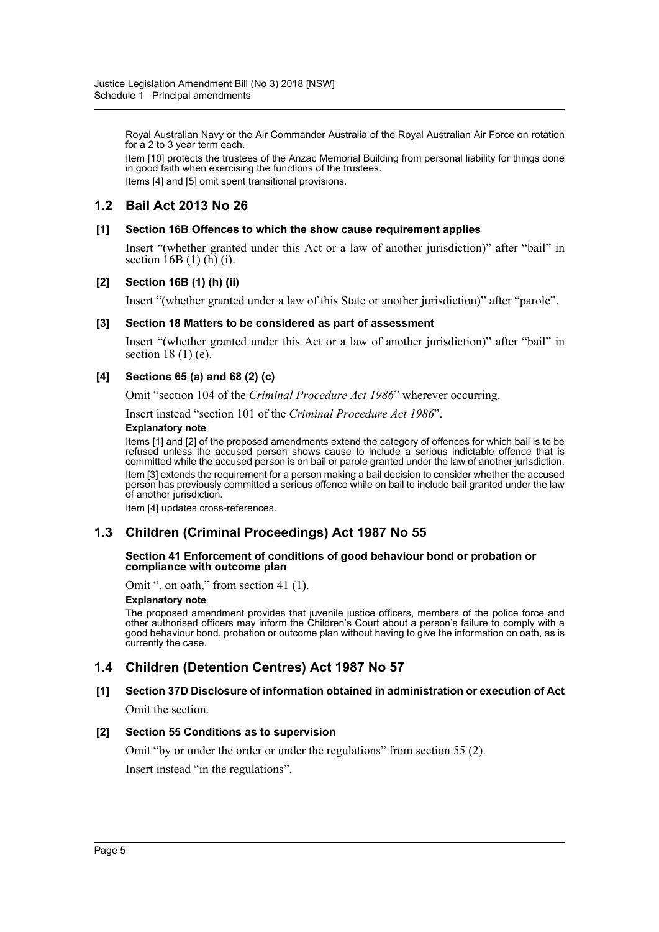Royal Australian Navy or the Air Commander Australia of the Royal Australian Air Force on rotation for a 2 to 3 year term each.

Item [10] protects the trustees of the Anzac Memorial Building from personal liability for things done in good faith when exercising the functions of the trustees. Items [4] and [5] omit spent transitional provisions.

# **1.2 Bail Act 2013 No 26**

## **[1] Section 16B Offences to which the show cause requirement applies**

Insert "(whether granted under this Act or a law of another jurisdiction)" after "bail" in section  $16B(1)$  (h) (i).

#### **[2] Section 16B (1) (h) (ii)**

Insert "(whether granted under a law of this State or another jurisdiction)" after "parole".

#### **[3] Section 18 Matters to be considered as part of assessment**

Insert "(whether granted under this Act or a law of another jurisdiction)" after "bail" in section  $18(1)$  (e).

## **[4] Sections 65 (a) and 68 (2) (c)**

Omit "section 104 of the *Criminal Procedure Act 1986*" wherever occurring.

Insert instead "section 101 of the *Criminal Procedure Act 1986*".

#### **Explanatory note**

Items [1] and [2] of the proposed amendments extend the category of offences for which bail is to be refused unless the accused person shows cause to include a serious indictable offence that is committed while the accused person is on bail or parole granted under the law of another jurisdiction. Item [3] extends the requirement for a person making a bail decision to consider whether the accused person has previously committed a serious offence while on bail to include bail granted under the law of another jurisdiction.

Item [4] updates cross-references.

# **1.3 Children (Criminal Proceedings) Act 1987 No 55**

#### **Section 41 Enforcement of conditions of good behaviour bond or probation or compliance with outcome plan**

Omit ", on oath," from section 41 (1).

#### **Explanatory note**

The proposed amendment provides that juvenile justice officers, members of the police force and other authorised officers may inform the Children's Court about a person's failure to comply with a good behaviour bond, probation or outcome plan without having to give the information on oath, as is currently the case.

# **1.4 Children (Detention Centres) Act 1987 No 57**

# **[1] Section 37D Disclosure of information obtained in administration or execution of Act**

Omit the section.

## **[2] Section 55 Conditions as to supervision**

Omit "by or under the order or under the regulations" from section 55 (2).

Insert instead "in the regulations".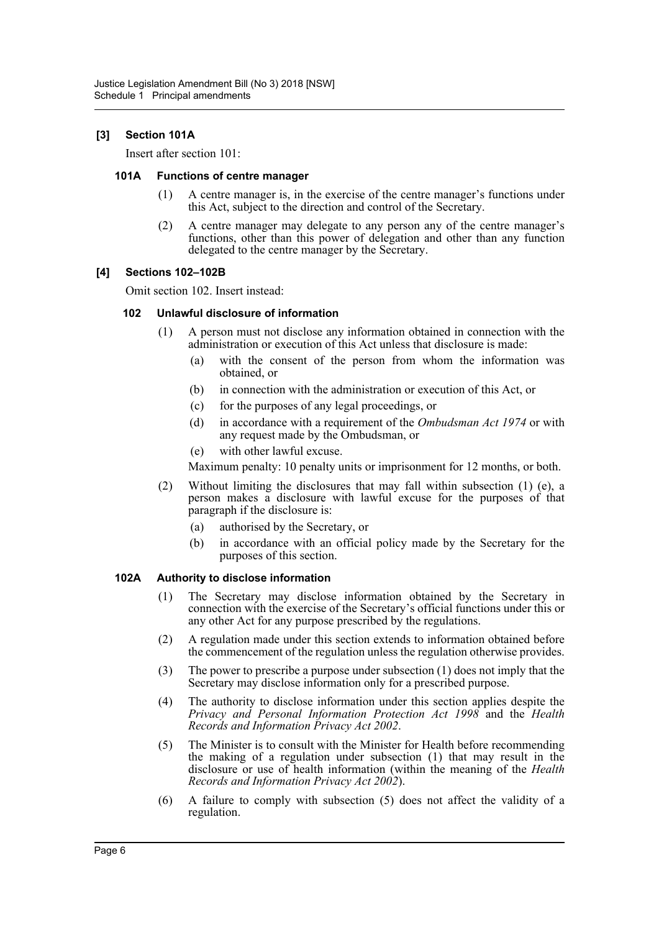## **[3] Section 101A**

Insert after section 101:

#### **101A Functions of centre manager**

- (1) A centre manager is, in the exercise of the centre manager's functions under this Act, subject to the direction and control of the Secretary.
- (2) A centre manager may delegate to any person any of the centre manager's functions, other than this power of delegation and other than any function delegated to the centre manager by the Secretary.

## **[4] Sections 102–102B**

Omit section 102. Insert instead:

## **102 Unlawful disclosure of information**

- (1) A person must not disclose any information obtained in connection with the administration or execution of this Act unless that disclosure is made:
	- (a) with the consent of the person from whom the information was obtained, or
	- (b) in connection with the administration or execution of this Act, or
	- (c) for the purposes of any legal proceedings, or
	- (d) in accordance with a requirement of the *Ombudsman Act 1974* or with any request made by the Ombudsman, or
	- (e) with other lawful excuse.

Maximum penalty: 10 penalty units or imprisonment for 12 months, or both.

- (2) Without limiting the disclosures that may fall within subsection (1) (e), a person makes a disclosure with lawful excuse for the purposes of that paragraph if the disclosure is:
	- (a) authorised by the Secretary, or
	- (b) in accordance with an official policy made by the Secretary for the purposes of this section.

## **102A Authority to disclose information**

- (1) The Secretary may disclose information obtained by the Secretary in connection with the exercise of the Secretary's official functions under this or any other Act for any purpose prescribed by the regulations.
- (2) A regulation made under this section extends to information obtained before the commencement of the regulation unless the regulation otherwise provides.
- (3) The power to prescribe a purpose under subsection (1) does not imply that the Secretary may disclose information only for a prescribed purpose.
- (4) The authority to disclose information under this section applies despite the *Privacy and Personal Information Protection Act 1998* and the *Health Records and Information Privacy Act 2002*.
- (5) The Minister is to consult with the Minister for Health before recommending the making of a regulation under subsection (1) that may result in the disclosure or use of health information (within the meaning of the *Health Records and Information Privacy Act 2002*).
- (6) A failure to comply with subsection (5) does not affect the validity of a regulation.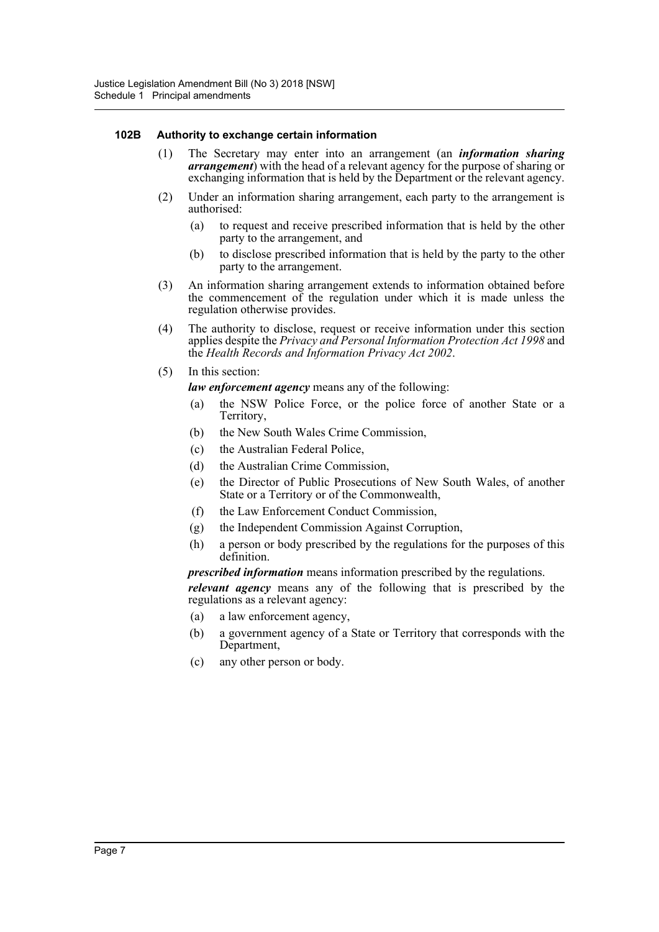## **102B Authority to exchange certain information**

- (1) The Secretary may enter into an arrangement (an *information sharing arrangement*) with the head of a relevant agency for the purpose of sharing or exchanging information that is held by the Department or the relevant agency.
- (2) Under an information sharing arrangement, each party to the arrangement is authorised:
	- (a) to request and receive prescribed information that is held by the other party to the arrangement, and
	- (b) to disclose prescribed information that is held by the party to the other party to the arrangement.
- (3) An information sharing arrangement extends to information obtained before the commencement of the regulation under which it is made unless the regulation otherwise provides.
- (4) The authority to disclose, request or receive information under this section applies despite the *Privacy and Personal Information Protection Act 1998* and the *Health Records and Information Privacy Act 2002*.
- (5) In this section:

*law enforcement agency* means any of the following:

- (a) the NSW Police Force, or the police force of another State or a Territory,
- (b) the New South Wales Crime Commission,
- (c) the Australian Federal Police,
- (d) the Australian Crime Commission,
- (e) the Director of Public Prosecutions of New South Wales, of another State or a Territory or of the Commonwealth,
- (f) the Law Enforcement Conduct Commission,
- (g) the Independent Commission Against Corruption,
- (h) a person or body prescribed by the regulations for the purposes of this definition.

*prescribed information* means information prescribed by the regulations.

*relevant agency* means any of the following that is prescribed by the regulations as a relevant agency:

- (a) a law enforcement agency,
- (b) a government agency of a State or Territory that corresponds with the Department,
- (c) any other person or body.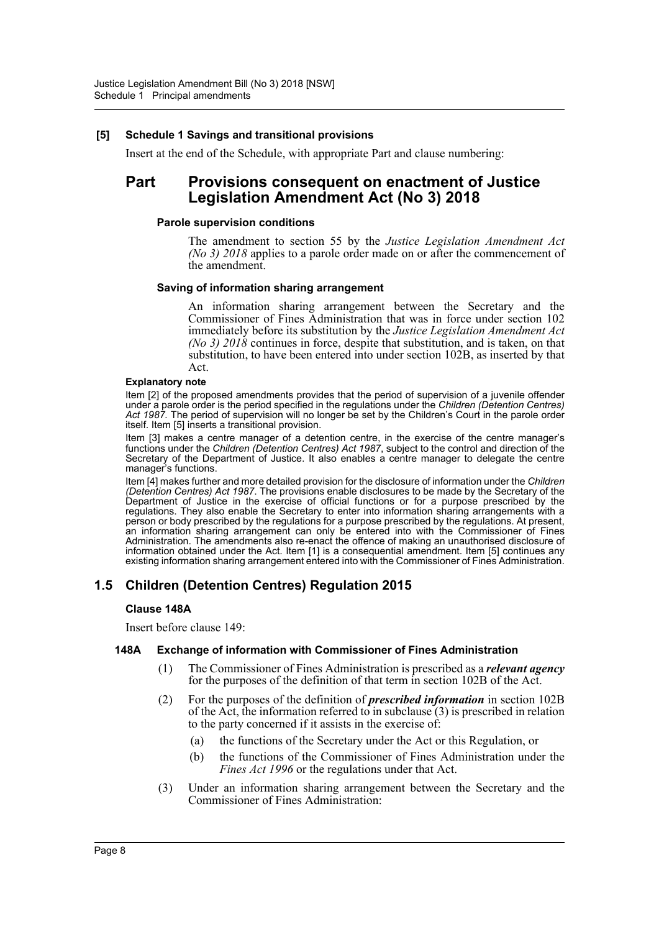## **[5] Schedule 1 Savings and transitional provisions**

Insert at the end of the Schedule, with appropriate Part and clause numbering:

# **Part Provisions consequent on enactment of Justice Legislation Amendment Act (No 3) 2018**

#### **Parole supervision conditions**

The amendment to section 55 by the *Justice Legislation Amendment Act (No 3) 2018* applies to a parole order made on or after the commencement of the amendment.

#### **Saving of information sharing arrangement**

An information sharing arrangement between the Secretary and the Commissioner of Fines Administration that was in force under section 102 immediately before its substitution by the *Justice Legislation Amendment Act (No 3) 2018* continues in force, despite that substitution, and is taken, on that substitution, to have been entered into under section 102B, as inserted by that Act.

#### **Explanatory note**

Item [2] of the proposed amendments provides that the period of supervision of a juvenile offender under a parole order is the period specified in the regulations under the *Children (Detention Centres) Act 1987.* The period of supervision will no longer be set by the Children's Court in the parole order itself. Item [5] inserts a transitional provision.

Item [3] makes a centre manager of a detention centre, in the exercise of the centre manager's functions under the *Children (Detention Centres) Act 1987*, subject to the control and direction of the Secretary of the Department of Justice. It also enables a centre manager to delegate the centre manager's functions.

Item [4] makes further and more detailed provision for the disclosure of information under the *Children (Detention Centres) Act 1987*. The provisions enable disclosures to be made by the Secretary of the Department of Justice in the exercise of official functions or for a purpose prescribed by the regulations. They also enable the Secretary to enter into information sharing arrangements with a person or body prescribed by the regulations for a purpose prescribed by the regulations. At present, an information sharing arrangement can only be entered into with the Commissioner of Fines Administration. The amendments also re-enact the offence of making an unauthorised disclosure of information obtained under the Act. Item [1] is a consequential amendment. Item [5] continues any existing information sharing arrangement entered into with the Commissioner of Fines Administration.

# **1.5 Children (Detention Centres) Regulation 2015**

## **Clause 148A**

Insert before clause 149:

## **148A Exchange of information with Commissioner of Fines Administration**

- (1) The Commissioner of Fines Administration is prescribed as a *relevant agency* for the purposes of the definition of that term in section 102B of the Act.
- (2) For the purposes of the definition of *prescribed information* in section 102B of the Act, the information referred to in subclause  $(3)$  is prescribed in relation to the party concerned if it assists in the exercise of:
	- (a) the functions of the Secretary under the Act or this Regulation, or
	- (b) the functions of the Commissioner of Fines Administration under the *Fines Act 1996* or the regulations under that Act.
- (3) Under an information sharing arrangement between the Secretary and the Commissioner of Fines Administration: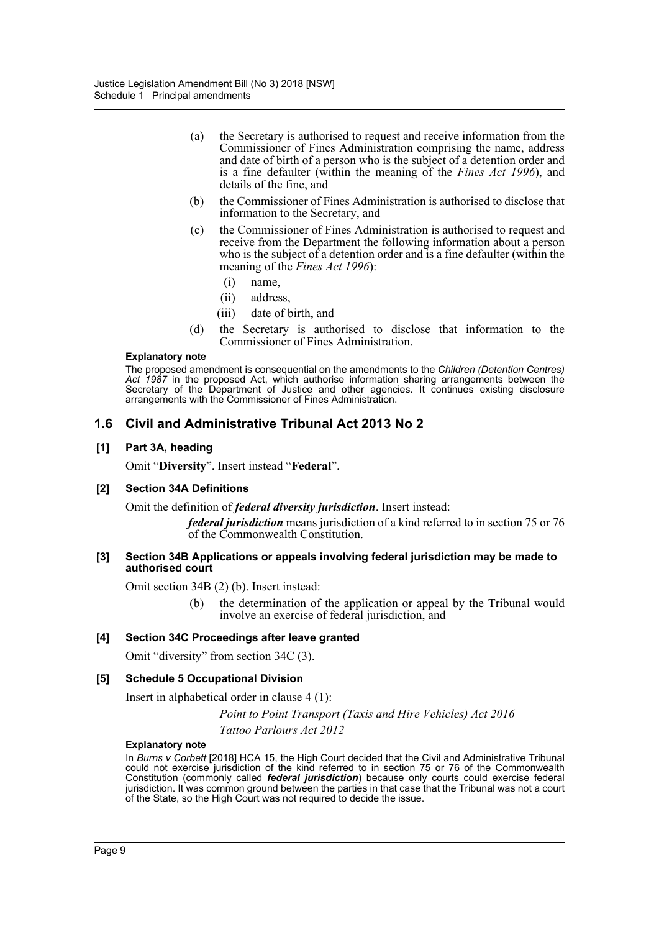- (a) the Secretary is authorised to request and receive information from the Commissioner of Fines Administration comprising the name, address and date of birth of a person who is the subject of a detention order and is a fine defaulter (within the meaning of the *Fines Act 1996*), and details of the fine, and
- (b) the Commissioner of Fines Administration is authorised to disclose that information to the Secretary, and
- (c) the Commissioner of Fines Administration is authorised to request and receive from the Department the following information about a person who is the subject of a detention order and is a fine defaulter (within the meaning of the *Fines Act 1996*):
	- (i) name,
	- (ii) address,
	- (iii) date of birth, and
- (d) the Secretary is authorised to disclose that information to the Commissioner of Fines Administration.

#### **Explanatory note**

The proposed amendment is consequential on the amendments to the *Children (Detention Centres) Act 1987* in the proposed Act, which authorise information sharing arrangements between the Secretary of the Department of Justice and other agencies. It continues existing disclosure arrangements with the Commissioner of Fines Administration.

# **1.6 Civil and Administrative Tribunal Act 2013 No 2**

#### **[1] Part 3A, heading**

Omit "**Diversity**". Insert instead "**Federal**".

#### **[2] Section 34A Definitions**

Omit the definition of *federal diversity jurisdiction*. Insert instead:

*federal jurisdiction* means jurisdiction of a kind referred to in section 75 or 76 of the Commonwealth Constitution.

#### **[3] Section 34B Applications or appeals involving federal jurisdiction may be made to authorised court**

Omit section 34B (2) (b). Insert instead:

(b) the determination of the application or appeal by the Tribunal would involve an exercise of federal jurisdiction, and

## **[4] Section 34C Proceedings after leave granted**

Omit "diversity" from section 34C (3).

#### **[5] Schedule 5 Occupational Division**

Insert in alphabetical order in clause 4 (1):

*Point to Point Transport (Taxis and Hire Vehicles) Act 2016 Tattoo Parlours Act 2012*

#### **Explanatory note**

In *Burns v Corbett* [2018] HCA 15, the High Court decided that the Civil and Administrative Tribunal could not exercise jurisdiction of the kind referred to in section 75 or 76 of the Commonwealth Constitution (commonly called *federal jurisdiction*) because only courts could exercise federal jurisdiction. It was common ground between the parties in that case that the Tribunal was not a court of the State, so the High Court was not required to decide the issue.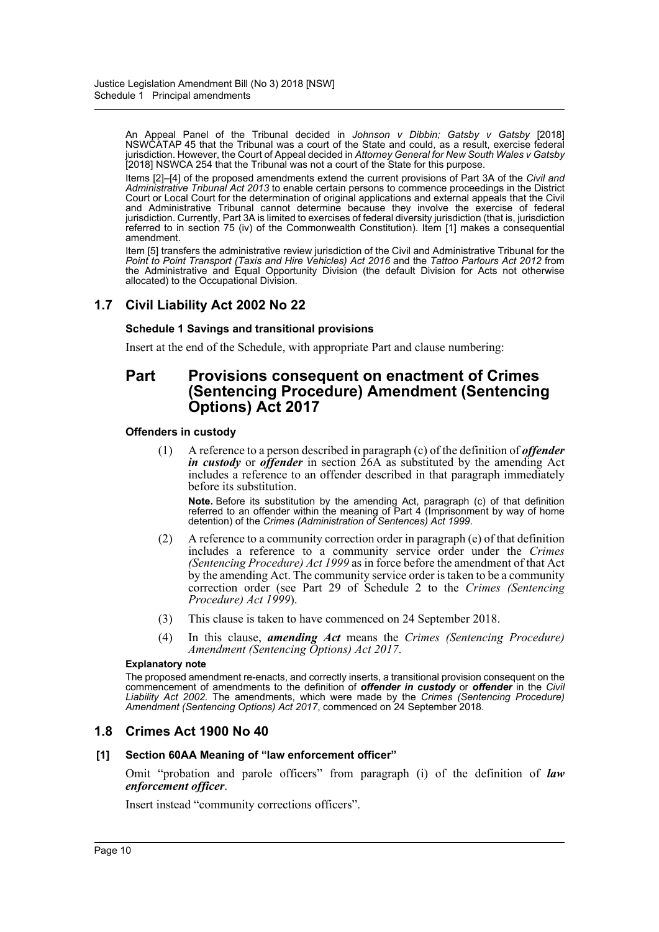An Appeal Panel of the Tribunal decided in *Johnson v Dibbin; Gatsby v Gatsby* [2018] NSWCATAP 45 that the Tribunal was a court of the State and could, as a result, exercise federal jurisdiction. However, the Court of Appeal decided in *Attorney General for New South Wales v Gatsby* [2018] NSWCA 254 that the Tribunal was not a court of the State for this purpose.

Items [2]–[4] of the proposed amendments extend the current provisions of Part 3A of the *Civil and Administrative Tribunal Act 2013* to enable certain persons to commence proceedings in the District Court or Local Court for the determination of original applications and external appeals that the Civil and Administrative Tribunal cannot determine because they involve the exercise of federal jurisdiction. Currently, Part 3A is limited to exercises of federal diversity jurisdiction (that is, jurisdiction referred to in section 75 (iv) of the Commonwealth Constitution). Item [1] makes a consequential amendment.

Item [5] transfers the administrative review jurisdiction of the Civil and Administrative Tribunal for the *Point to Point Transport (Taxis and Hire Vehicles) Act 2016* and the *Tattoo Parlours Act 2012* from the Administrative and Equal Opportunity Division (the default Division for Acts not otherwise allocated) to the Occupational Division.

# **1.7 Civil Liability Act 2002 No 22**

## **Schedule 1 Savings and transitional provisions**

Insert at the end of the Schedule, with appropriate Part and clause numbering:

# **Part Provisions consequent on enactment of Crimes (Sentencing Procedure) Amendment (Sentencing Options) Act 2017**

## **Offenders in custody**

(1) A reference to a person described in paragraph (c) of the definition of *offender in custody* or *offender* in section 26A as substituted by the amending Act includes a reference to an offender described in that paragraph immediately before its substitution.

**Note.** Before its substitution by the amending Act, paragraph (c) of that definition referred to an offender within the meaning of Part 4 (Imprisonment by way of home detention) of the *Crimes (Administration of Sentences) Act 1999*.

- (2) A reference to a community correction order in paragraph (e) of that definition includes a reference to a community service order under the *Crimes (Sentencing Procedure) Act 1999* as in force before the amendment of that Act by the amending Act. The community service order is taken to be a community correction order (see Part 29 of Schedule 2 to the *Crimes (Sentencing Procedure) Act 1999*).
- (3) This clause is taken to have commenced on 24 September 2018.
- (4) In this clause, *amending Act* means the *Crimes (Sentencing Procedure) Amendment (Sentencing Options) Act 2017*.

#### **Explanatory note**

The proposed amendment re-enacts, and correctly inserts, a transitional provision consequent on the commencement of amendments to the definition of *offender in custody* or *offender* in the *Civil Liability Act 2002.* The amendments, which were made by the *Crimes (Sentencing Procedure) Amendment (Sentencing Options) Act 2017*, commenced on 24 September 2018.

# **1.8 Crimes Act 1900 No 40**

## **[1] Section 60AA Meaning of "law enforcement officer"**

Omit "probation and parole officers" from paragraph (i) of the definition of *law enforcement officer*.

Insert instead "community corrections officers".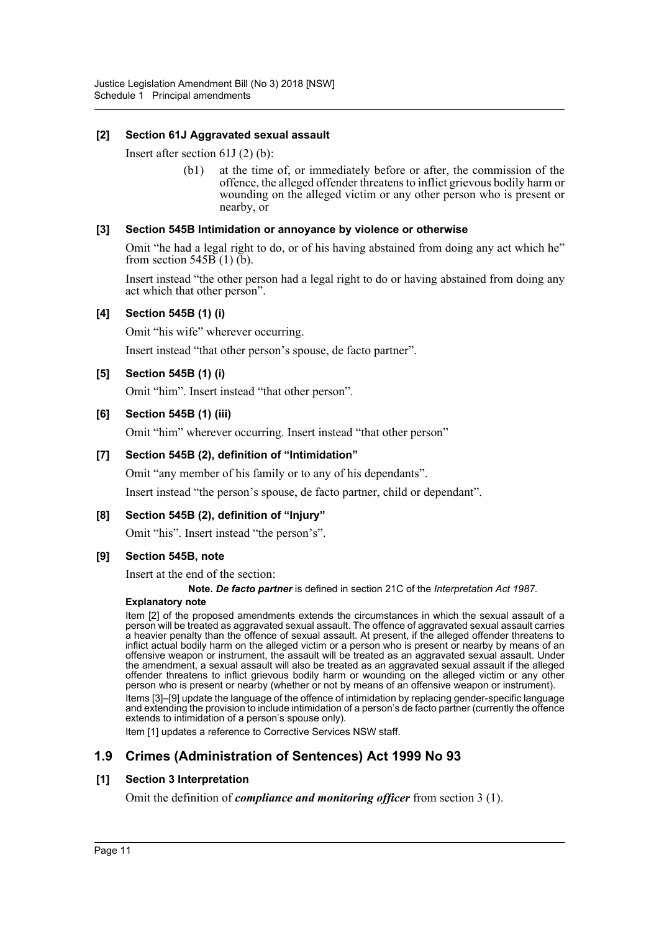## **[2] Section 61J Aggravated sexual assault**

Insert after section 61J (2) (b):

(b1) at the time of, or immediately before or after, the commission of the offence, the alleged offender threatens to inflict grievous bodily harm or wounding on the alleged victim or any other person who is present or nearby, or

## **[3] Section 545B Intimidation or annoyance by violence or otherwise**

Omit "he had a legal right to do, or of his having abstained from doing any act which he" from section  $545\overline{B}$  (1) (b).

Insert instead "the other person had a legal right to do or having abstained from doing any act which that other person".

## **[4] Section 545B (1) (i)**

Omit "his wife" wherever occurring.

Insert instead "that other person's spouse, de facto partner".

## **[5] Section 545B (1) (i)**

Omit "him". Insert instead "that other person".

## **[6] Section 545B (1) (iii)**

Omit "him" wherever occurring. Insert instead "that other person"

## **[7] Section 545B (2), definition of "Intimidation"**

Omit "any member of his family or to any of his dependants".

Insert instead "the person's spouse, de facto partner, child or dependant".

## **[8] Section 545B (2), definition of "Injury"**

Omit "his". Insert instead "the person's".

## **[9] Section 545B, note**

Insert at the end of the section:

**Note.** *De facto partner* is defined in section 21C of the *Interpretation Act 1987*.

#### **Explanatory note**

Item [2] of the proposed amendments extends the circumstances in which the sexual assault of a person will be treated as aggravated sexual assault. The offence of aggravated sexual assault carries a heavier penalty than the offence of sexual assault. At present, if the alleged offender threatens to inflict actual bodily harm on the alleged victim or a person who is present or nearby by means of an offensive weapon or instrument, the assault will be treated as an aggravated sexual assault. Under the amendment, a sexual assault will also be treated as an aggravated sexual assault if the alleged offender threatens to inflict grievous bodily harm or wounding on the alleged victim or any other person who is present or nearby (whether or not by means of an offensive weapon or instrument).

Items [3]–[9] update the language of the offence of intimidation by replacing gender-specific language and extending the provision to include intimidation of a person's de facto partner (currently the offence extends to intimidation of a person's spouse only).

Item [1] updates a reference to Corrective Services NSW staff.

# **1.9 Crimes (Administration of Sentences) Act 1999 No 93**

## **[1] Section 3 Interpretation**

Omit the definition of *compliance and monitoring officer* from section 3 (1).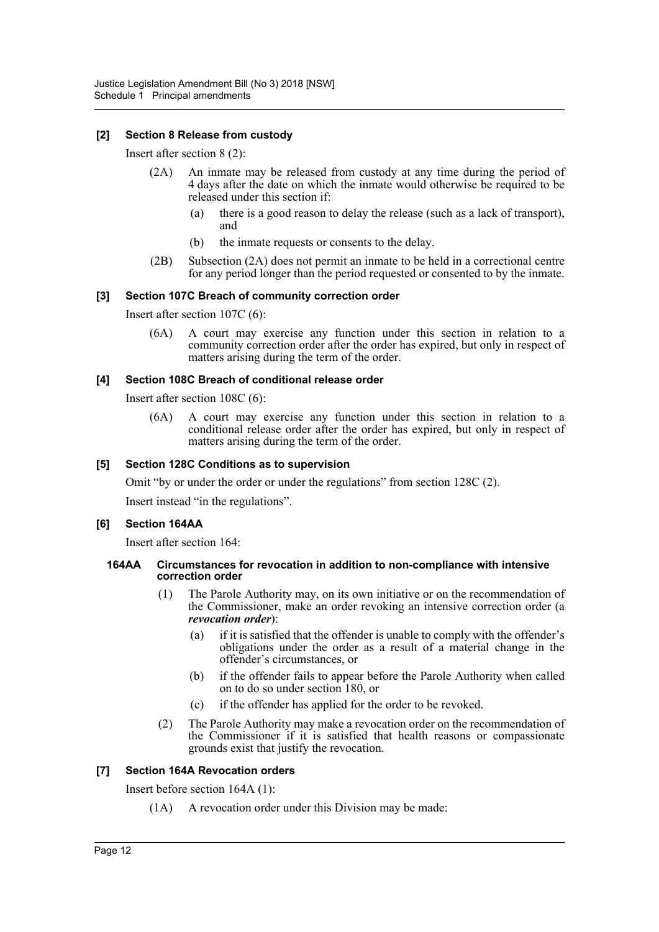## **[2] Section 8 Release from custody**

Insert after section 8 (2):

- (2A) An inmate may be released from custody at any time during the period of 4 days after the date on which the inmate would otherwise be required to be released under this section if:
	- (a) there is a good reason to delay the release (such as a lack of transport), and
	- (b) the inmate requests or consents to the delay.
- (2B) Subsection (2A) does not permit an inmate to be held in a correctional centre for any period longer than the period requested or consented to by the inmate.

#### **[3] Section 107C Breach of community correction order**

Insert after section 107C (6):

(6A) A court may exercise any function under this section in relation to a community correction order after the order has expired, but only in respect of matters arising during the term of the order.

#### **[4] Section 108C Breach of conditional release order**

Insert after section 108C (6):

(6A) A court may exercise any function under this section in relation to a conditional release order after the order has expired, but only in respect of matters arising during the term of the order.

#### **[5] Section 128C Conditions as to supervision**

Omit "by or under the order or under the regulations" from section 128C (2).

Insert instead "in the regulations".

## **[6] Section 164AA**

Insert after section 164:

#### **164AA Circumstances for revocation in addition to non-compliance with intensive correction order**

- (1) The Parole Authority may, on its own initiative or on the recommendation of the Commissioner, make an order revoking an intensive correction order (a *revocation order*):
	- (a) if it is satisfied that the offender is unable to comply with the offender's obligations under the order as a result of a material change in the offender's circumstances, or
	- (b) if the offender fails to appear before the Parole Authority when called on to do so under section 180, or
	- (c) if the offender has applied for the order to be revoked.
- (2) The Parole Authority may make a revocation order on the recommendation of the Commissioner if it is satisfied that health reasons or compassionate grounds exist that justify the revocation.

## **[7] Section 164A Revocation orders**

Insert before section 164A (1):

(1A) A revocation order under this Division may be made: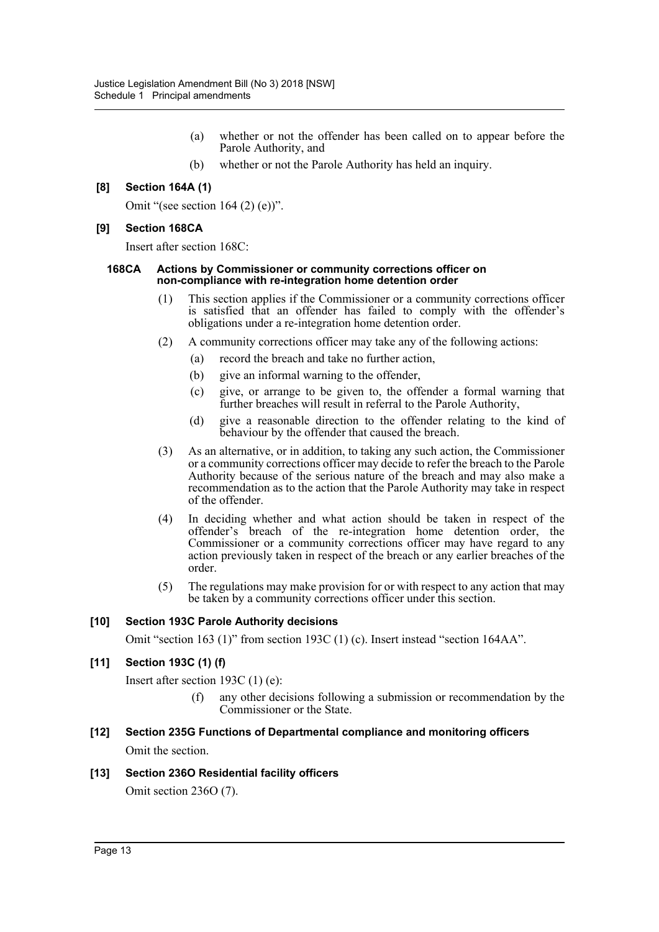- (a) whether or not the offender has been called on to appear before the Parole Authority, and
- (b) whether or not the Parole Authority has held an inquiry.

## **[8] Section 164A (1)**

Omit "(see section  $164 (2) (e)$ )".

## **[9] Section 168CA**

Insert after section 168C:

#### **168CA Actions by Commissioner or community corrections officer on non-compliance with re-integration home detention order**

- (1) This section applies if the Commissioner or a community corrections officer is satisfied that an offender has failed to comply with the offender's obligations under a re-integration home detention order.
- (2) A community corrections officer may take any of the following actions:
	- (a) record the breach and take no further action,
	- (b) give an informal warning to the offender,
	- (c) give, or arrange to be given to, the offender a formal warning that further breaches will result in referral to the Parole Authority,
	- (d) give a reasonable direction to the offender relating to the kind of behaviour by the offender that caused the breach.
- (3) As an alternative, or in addition, to taking any such action, the Commissioner or a community corrections officer may decide to refer the breach to the Parole Authority because of the serious nature of the breach and may also make a recommendation as to the action that the Parole Authority may take in respect of the offender.
- (4) In deciding whether and what action should be taken in respect of the offender's breach of the re-integration home detention order, the Commissioner or a community corrections officer may have regard to any action previously taken in respect of the breach or any earlier breaches of the order.
- (5) The regulations may make provision for or with respect to any action that may be taken by a community corrections officer under this section.

## **[10] Section 193C Parole Authority decisions**

Omit "section 163 (1)" from section 193C (1) (c). Insert instead "section 164AA".

# **[11] Section 193C (1) (f)**

Insert after section 193C (1) (e):

(f) any other decisions following a submission or recommendation by the Commissioner or the State.

# **[12] Section 235G Functions of Departmental compliance and monitoring officers** Omit the section.

## **[13] Section 236O Residential facility officers**

Omit section 236O (7).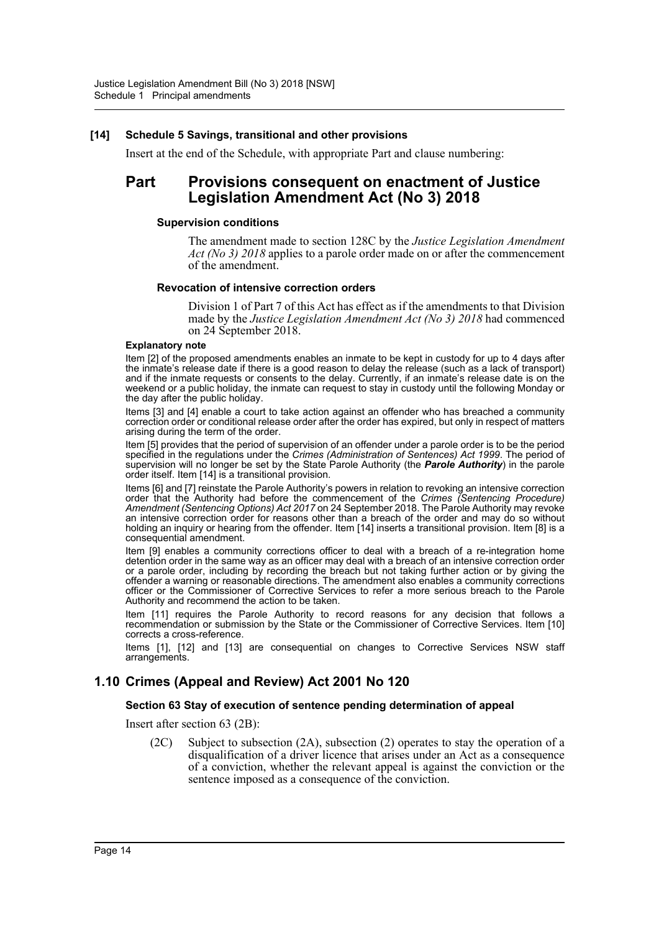#### **[14] Schedule 5 Savings, transitional and other provisions**

Insert at the end of the Schedule, with appropriate Part and clause numbering:

# **Part Provisions consequent on enactment of Justice Legislation Amendment Act (No 3) 2018**

#### **Supervision conditions**

The amendment made to section 128C by the *Justice Legislation Amendment Act (No 3) 2018* applies to a parole order made on or after the commencement of the amendment.

#### **Revocation of intensive correction orders**

Division 1 of Part 7 of this Act has effect as if the amendments to that Division made by the *Justice Legislation Amendment Act (No 3) 2018* had commenced on 24 September 2018.

#### **Explanatory note**

Item [2] of the proposed amendments enables an inmate to be kept in custody for up to 4 days after the inmate's release date if there is a good reason to delay the release (such as a lack of transport) and if the inmate requests or consents to the delay. Currently, if an inmate's release date is on the weekend or a public holiday, the inmate can request to stay in custody until the following Monday or the day after the public holiday.

Items [3] and [4] enable a court to take action against an offender who has breached a community correction order or conditional release order after the order has expired, but only in respect of matters arising during the term of the order.

Item [5] provides that the period of supervision of an offender under a parole order is to be the period specified in the regulations under the *Crimes (Administration of Sentences) Act 1999*. The period of supervision will no longer be set by the State Parole Authority (the *Parole Authority*) in the parole order itself. Item [14] is a transitional provision.

Items [6] and [7] reinstate the Parole Authority's powers in relation to revoking an intensive correction order that the Authority had before the commencement of the *Crimes (Sentencing Procedure) Amendment (Sentencing Options) Act 2017* on 24 September 2018. The Parole Authority may revoke an intensive correction order for reasons other than a breach of the order and may do so without holding an inquiry or hearing from the offender. Item [14] inserts a transitional provision. Item [8] is a consequential amendment.

Item [9] enables a community corrections officer to deal with a breach of a re-integration home detention order in the same way as an officer may deal with a breach of an intensive correction order or a parole order, including by recording the breach but not taking further action or by giving the offender a warning or reasonable directions. The amendment also enables a community corrections officer or the Commissioner of Corrective Services to refer a more serious breach to the Parole Authority and recommend the action to be taken.

Item [11] requires the Parole Authority to record reasons for any decision that follows a recommendation or submission by the State or the Commissioner of Corrective Services. Item [10] corrects a cross-reference.

Items [1], [12] and [13] are consequential on changes to Corrective Services NSW staff arrangements.

# **1.10 Crimes (Appeal and Review) Act 2001 No 120**

#### **Section 63 Stay of execution of sentence pending determination of appeal**

Insert after section 63 (2B):

(2C) Subject to subsection (2A), subsection (2) operates to stay the operation of a disqualification of a driver licence that arises under an Act as a consequence of a conviction, whether the relevant appeal is against the conviction or the sentence imposed as a consequence of the conviction.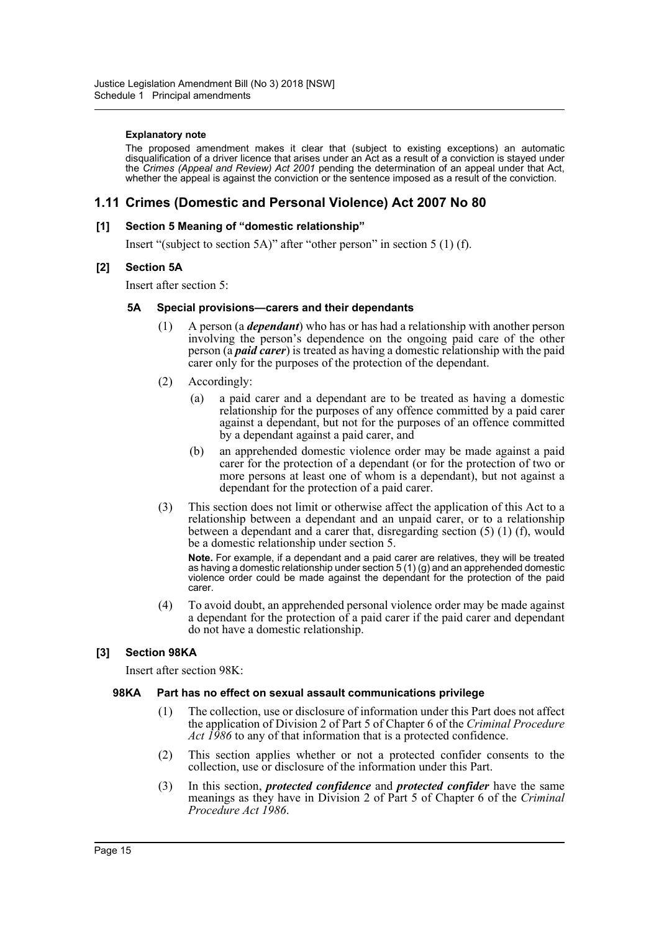#### **Explanatory note**

The proposed amendment makes it clear that (subject to existing exceptions) an automatic disqualification of a driver licence that arises under an Act as a result of a conviction is stayed under the *Crimes (Appeal and Review) Act 2001* pending the determination of an appeal under that Act, whether the appeal is against the conviction or the sentence imposed as a result of the conviction.

# **1.11 Crimes (Domestic and Personal Violence) Act 2007 No 80**

#### **[1] Section 5 Meaning of "domestic relationship"**

Insert "(subject to section 5A)" after "other person" in section 5 (1) (f).

#### **[2] Section 5A**

Insert after section 5:

#### **5A Special provisions—carers and their dependants**

- (1) A person (a *dependant*) who has or has had a relationship with another person involving the person's dependence on the ongoing paid care of the other person (a *paid carer*) is treated as having a domestic relationship with the paid carer only for the purposes of the protection of the dependant.
- (2) Accordingly:
	- (a) a paid carer and a dependant are to be treated as having a domestic relationship for the purposes of any offence committed by a paid carer against a dependant, but not for the purposes of an offence committed by a dependant against a paid carer, and
	- (b) an apprehended domestic violence order may be made against a paid carer for the protection of a dependant (or for the protection of two or more persons at least one of whom is a dependant), but not against a dependant for the protection of a paid carer.
- (3) This section does not limit or otherwise affect the application of this Act to a relationship between a dependant and an unpaid carer, or to a relationship between a dependant and a carer that, disregarding section (5) (1) (f), would be a domestic relationship under section 5.

**Note.** For example, if a dependant and a paid carer are relatives, they will be treated as having a domestic relationship under section 5 (1) (g) and an apprehended domestic violence order could be made against the dependant for the protection of the paid carer.

(4) To avoid doubt, an apprehended personal violence order may be made against a dependant for the protection of a paid carer if the paid carer and dependant do not have a domestic relationship.

## **[3] Section 98KA**

Insert after section 98K:

## **98KA Part has no effect on sexual assault communications privilege**

- (1) The collection, use or disclosure of information under this Part does not affect the application of Division 2 of Part 5 of Chapter 6 of the *Criminal Procedure Act 1986* to any of that information that is a protected confidence.
- (2) This section applies whether or not a protected confider consents to the collection, use or disclosure of the information under this Part.
- (3) In this section, *protected confidence* and *protected confider* have the same meanings as they have in Division 2 of Part 5 of Chapter 6 of the *Criminal Procedure Act 1986*.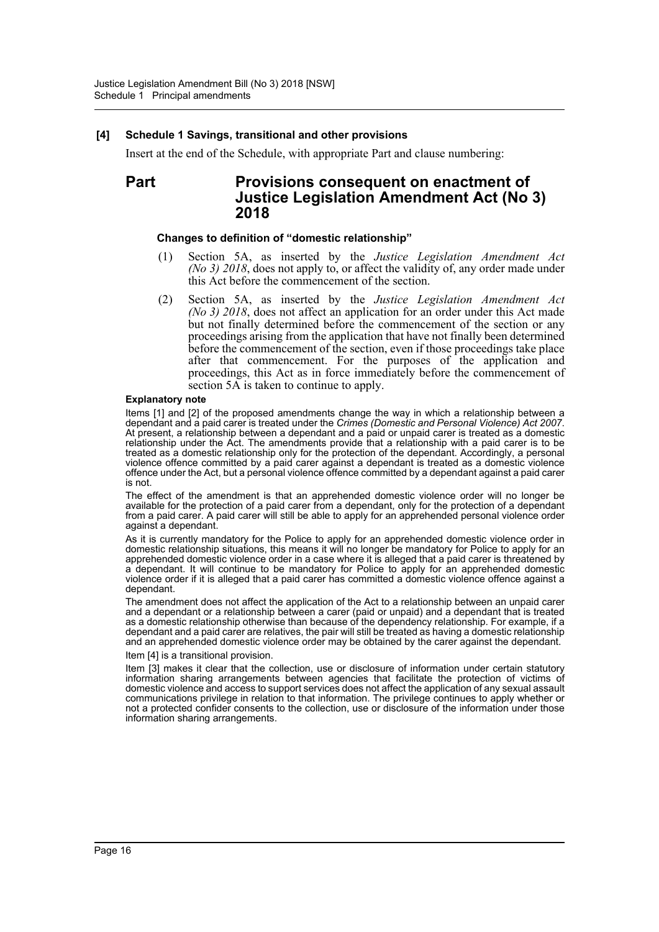#### **[4] Schedule 1 Savings, transitional and other provisions**

Insert at the end of the Schedule, with appropriate Part and clause numbering:

# **Part Provisions consequent on enactment of Justice Legislation Amendment Act (No 3) 2018**

#### **Changes to definition of "domestic relationship"**

- (1) Section 5A, as inserted by the *Justice Legislation Amendment Act (No 3) 2018*, does not apply to, or affect the validity of, any order made under this Act before the commencement of the section.
- (2) Section 5A, as inserted by the *Justice Legislation Amendment Act (No 3) 2018*, does not affect an application for an order under this Act made but not finally determined before the commencement of the section or any proceedings arising from the application that have not finally been determined before the commencement of the section, even if those proceedings take place after that commencement. For the purposes of the application and proceedings, this Act as in force immediately before the commencement of section 5A is taken to continue to apply.

#### **Explanatory note**

Items [1] and [2] of the proposed amendments change the way in which a relationship between a dependant and a paid carer is treated under the *Crimes (Domestic and Personal Violence) Act 2007*. At present, a relationship between a dependant and a paid or unpaid carer is treated as a domestic relationship under the Act. The amendments provide that a relationship with a paid carer is to be treated as a domestic relationship only for the protection of the dependant. Accordingly, a personal violence offence committed by a paid carer against a dependant is treated as a domestic violence offence under the Act, but a personal violence offence committed by a dependant against a paid carer is not.

The effect of the amendment is that an apprehended domestic violence order will no longer be available for the protection of a paid carer from a dependant, only for the protection of a dependant from a paid carer. A paid carer will still be able to apply for an apprehended personal violence order against a dependant.

As it is currently mandatory for the Police to apply for an apprehended domestic violence order in domestic relationship situations, this means it will no longer be mandatory for Police to apply for an apprehended domestic violence order in a case where it is alleged that a paid carer is threatened by a dependant. It will continue to be mandatory for Police to apply for an apprehended domestic violence order if it is alleged that a paid carer has committed a domestic violence offence against a dependant.

The amendment does not affect the application of the Act to a relationship between an unpaid carer and a dependant or a relationship between a carer (paid or unpaid) and a dependant that is treated as a domestic relationship otherwise than because of the dependency relationship. For example, if a dependant and a paid carer are relatives, the pair will still be treated as having a domestic relationship and an apprehended domestic violence order may be obtained by the carer against the dependant. Item [4] is a transitional provision.

Item [3] makes it clear that the collection, use or disclosure of information under certain statutory information sharing arrangements between agencies that facilitate the protection of victims of domestic violence and access to support services does not affect the application of any sexual assault communications privilege in relation to that information. The privilege continues to apply whether or not a protected confider consents to the collection, use or disclosure of the information under those information sharing arrangements.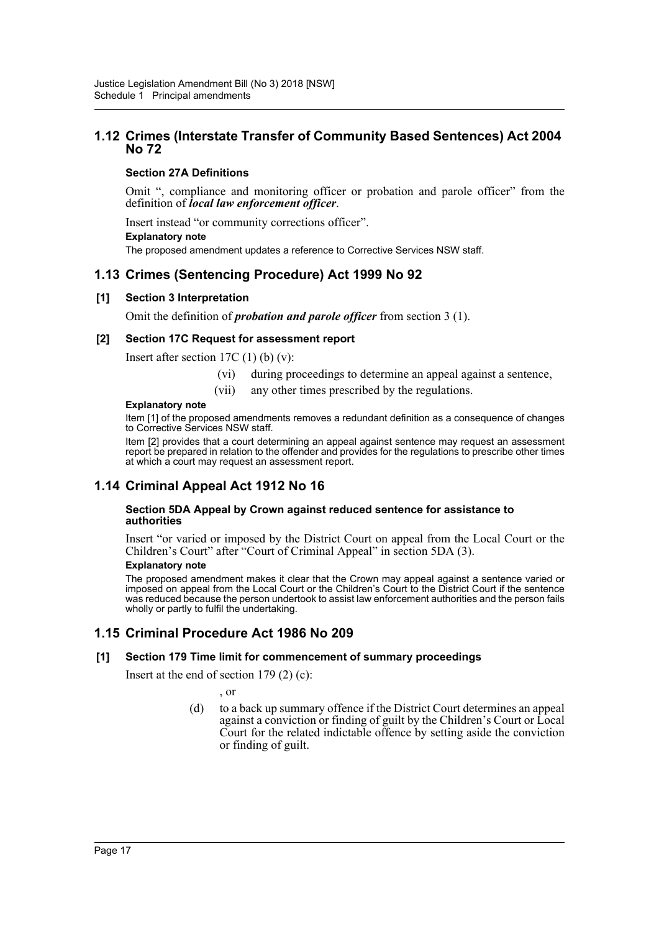# **1.12 Crimes (Interstate Transfer of Community Based Sentences) Act 2004 No 72**

# **Section 27A Definitions**

Omit ", compliance and monitoring officer or probation and parole officer" from the definition of *local law enforcement officer*.

Insert instead "or community corrections officer". **Explanatory note** The proposed amendment updates a reference to Corrective Services NSW staff.

# **1.13 Crimes (Sentencing Procedure) Act 1999 No 92**

## **[1] Section 3 Interpretation**

Omit the definition of *probation and parole officer* from section 3 (1).

## **[2] Section 17C Request for assessment report**

Insert after section  $17C(1)$  (b) (v):

- (vi) during proceedings to determine an appeal against a sentence,
- (vii) any other times prescribed by the regulations.

#### **Explanatory note**

Item [1] of the proposed amendments removes a redundant definition as a consequence of changes to Corrective Services NSW staff.

Item [2] provides that a court determining an appeal against sentence may request an assessment report be prepared in relation to the offender and provides for the regulations to prescribe other times at which a court may request an assessment report.

# **1.14 Criminal Appeal Act 1912 No 16**

#### **Section 5DA Appeal by Crown against reduced sentence for assistance to authorities**

Insert "or varied or imposed by the District Court on appeal from the Local Court or the Children's Court" after "Court of Criminal Appeal" in section 5DA (3).

#### **Explanatory note**

The proposed amendment makes it clear that the Crown may appeal against a sentence varied or imposed on appeal from the Local Court or the Children's Court to the District Court if the sentence was reduced because the person undertook to assist law enforcement authorities and the person fails wholly or partly to fulfil the undertaking.

# **1.15 Criminal Procedure Act 1986 No 209**

## **[1] Section 179 Time limit for commencement of summary proceedings**

Insert at the end of section 179 (2) (c):

, or

(d) to a back up summary offence if the District Court determines an appeal against a conviction or finding of guilt by the Children's Court or Local Court for the related indictable offence by setting aside the conviction or finding of guilt.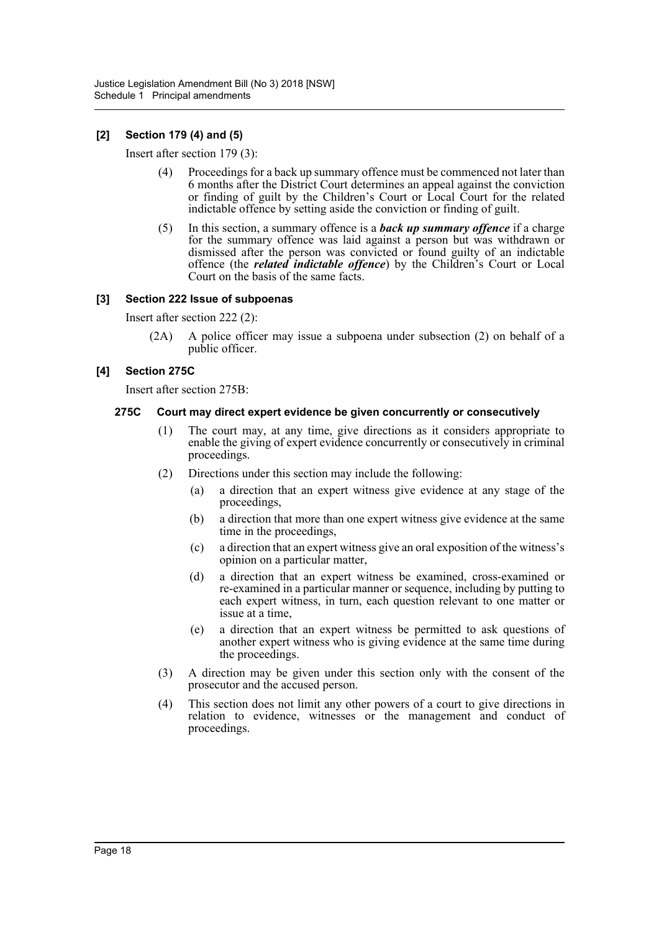## **[2] Section 179 (4) and (5)**

Insert after section 179 (3):

- (4) Proceedings for a back up summary offence must be commenced not later than 6 months after the District Court determines an appeal against the conviction or finding of guilt by the Children's Court or Local Court for the related indictable offence by setting aside the conviction or finding of guilt.
- (5) In this section, a summary offence is a *back up summary offence* if a charge for the summary offence was laid against a person but was withdrawn or dismissed after the person was convicted or found guilty of an indictable offence (the *related indictable offence*) by the Children's Court or Local Court on the basis of the same facts.

## **[3] Section 222 Issue of subpoenas**

Insert after section 222 (2):

(2A) A police officer may issue a subpoena under subsection (2) on behalf of a public officer.

## **[4] Section 275C**

Insert after section 275B:

## **275C Court may direct expert evidence be given concurrently or consecutively**

- (1) The court may, at any time, give directions as it considers appropriate to enable the giving of expert evidence concurrently or consecutively in criminal proceedings.
- (2) Directions under this section may include the following:
	- (a) a direction that an expert witness give evidence at any stage of the proceedings,
	- (b) a direction that more than one expert witness give evidence at the same time in the proceedings,
	- (c) a direction that an expert witness give an oral exposition of the witness's opinion on a particular matter,
	- (d) a direction that an expert witness be examined, cross-examined or re-examined in a particular manner or sequence, including by putting to each expert witness, in turn, each question relevant to one matter or issue at a time,
	- (e) a direction that an expert witness be permitted to ask questions of another expert witness who is giving evidence at the same time during the proceedings.
- (3) A direction may be given under this section only with the consent of the prosecutor and the accused person.
- (4) This section does not limit any other powers of a court to give directions in relation to evidence, witnesses or the management and conduct of proceedings.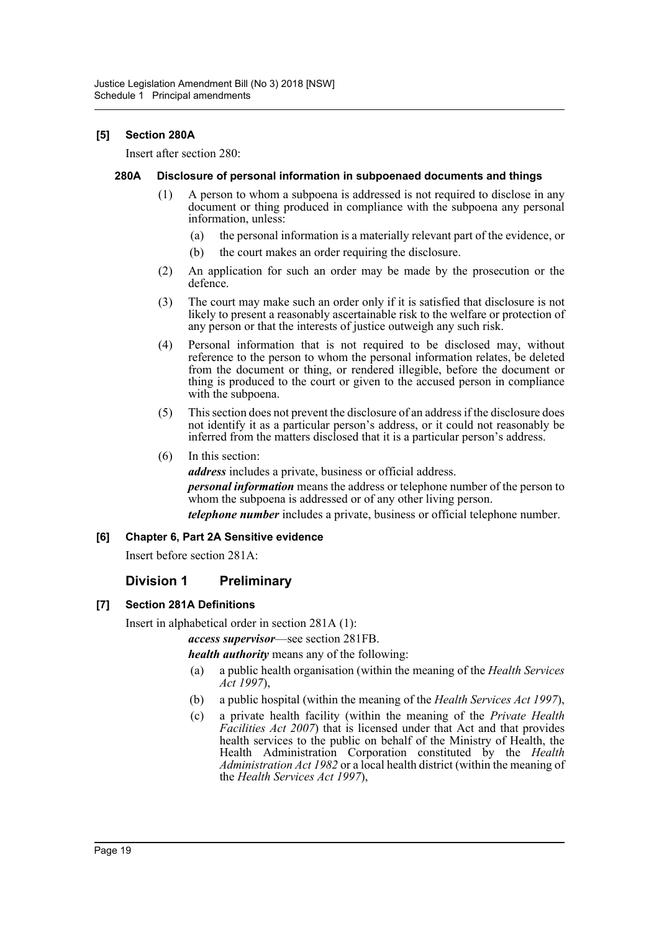## **[5] Section 280A**

Insert after section 280:

#### **280A Disclosure of personal information in subpoenaed documents and things**

- (1) A person to whom a subpoena is addressed is not required to disclose in any document or thing produced in compliance with the subpoena any personal information, unless:
	- (a) the personal information is a materially relevant part of the evidence, or
	- (b) the court makes an order requiring the disclosure.
- (2) An application for such an order may be made by the prosecution or the defence.
- (3) The court may make such an order only if it is satisfied that disclosure is not likely to present a reasonably ascertainable risk to the welfare or protection of any person or that the interests of justice outweigh any such risk.
- (4) Personal information that is not required to be disclosed may, without reference to the person to whom the personal information relates, be deleted from the document or thing, or rendered illegible, before the document or thing is produced to the court or given to the accused person in compliance with the subpoena.
- (5) This section does not prevent the disclosure of an address if the disclosure does not identify it as a particular person's address, or it could not reasonably be inferred from the matters disclosed that it is a particular person's address.
- (6) In this section:

*address* includes a private, business or official address. *personal information* means the address or telephone number of the person to whom the subpoena is addressed or of any other living person. *telephone number* includes a private, business or official telephone number.

## **[6] Chapter 6, Part 2A Sensitive evidence**

Insert before section 281A:

# **Division 1 Preliminary**

## **[7] Section 281A Definitions**

Insert in alphabetical order in section 281A (1):

*access supervisor*—see section 281FB.

*health authority* means any of the following:

- (a) a public health organisation (within the meaning of the *Health Services Act 1997*),
- (b) a public hospital (within the meaning of the *Health Services Act 1997*),
- (c) a private health facility (within the meaning of the *Private Health Facilities Act 2007*) that is licensed under that Act and that provides health services to the public on behalf of the Ministry of Health, the Health Administration Corporation constituted by the *Health*  Administration Act 1982 or a local health district (within the meaning of the *Health Services Act 1997*),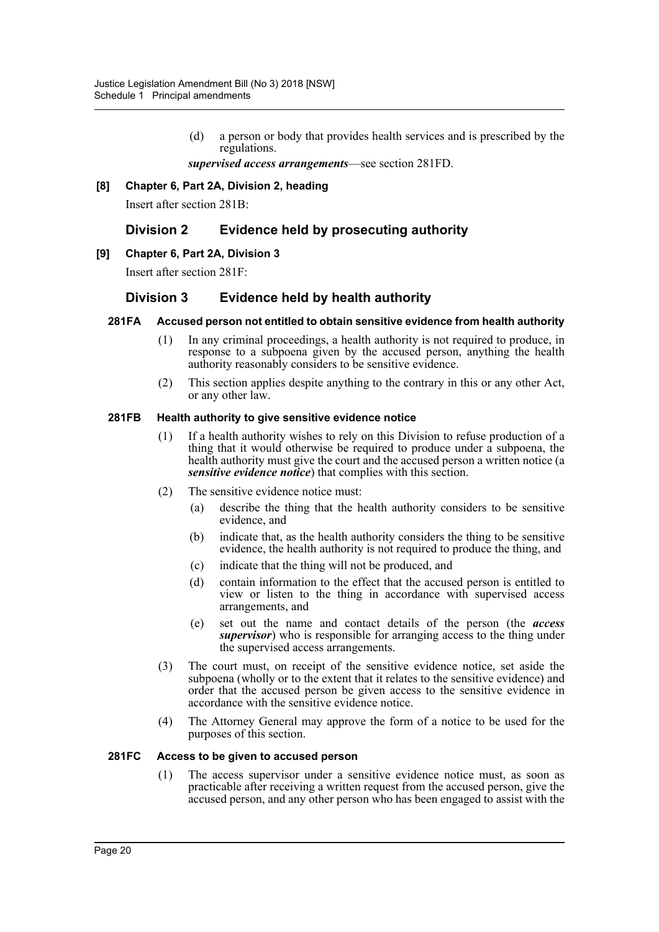(d) a person or body that provides health services and is prescribed by the regulations.

*supervised access arrangements*—see section 281FD.

## **[8] Chapter 6, Part 2A, Division 2, heading**

Insert after section 281B:

# **Division 2 Evidence held by prosecuting authority**

## **[9] Chapter 6, Part 2A, Division 3**

Insert after section 281F:

# **Division 3 Evidence held by health authority**

#### **281FA Accused person not entitled to obtain sensitive evidence from health authority**

- (1) In any criminal proceedings, a health authority is not required to produce, in response to a subpoena given by the accused person, anything the health authority reasonably considers to be sensitive evidence.
- (2) This section applies despite anything to the contrary in this or any other Act, or any other law.

## **281FB Health authority to give sensitive evidence notice**

- (1) If a health authority wishes to rely on this Division to refuse production of a thing that it would otherwise be required to produce under a subpoena, the health authority must give the court and the accused person a written notice (a *sensitive evidence notice*) that complies with this section.
- (2) The sensitive evidence notice must:
	- (a) describe the thing that the health authority considers to be sensitive evidence, and
	- (b) indicate that, as the health authority considers the thing to be sensitive evidence, the health authority is not required to produce the thing, and
	- (c) indicate that the thing will not be produced, and
	- (d) contain information to the effect that the accused person is entitled to view or listen to the thing in accordance with supervised access arrangements, and
	- (e) set out the name and contact details of the person (the *access supervisor*) who is responsible for arranging access to the thing under the supervised access arrangements.
- (3) The court must, on receipt of the sensitive evidence notice, set aside the subpoena (wholly or to the extent that it relates to the sensitive evidence) and order that the accused person be given access to the sensitive evidence in accordance with the sensitive evidence notice.
- (4) The Attorney General may approve the form of a notice to be used for the purposes of this section.

#### **281FC Access to be given to accused person**

(1) The access supervisor under a sensitive evidence notice must, as soon as practicable after receiving a written request from the accused person, give the accused person, and any other person who has been engaged to assist with the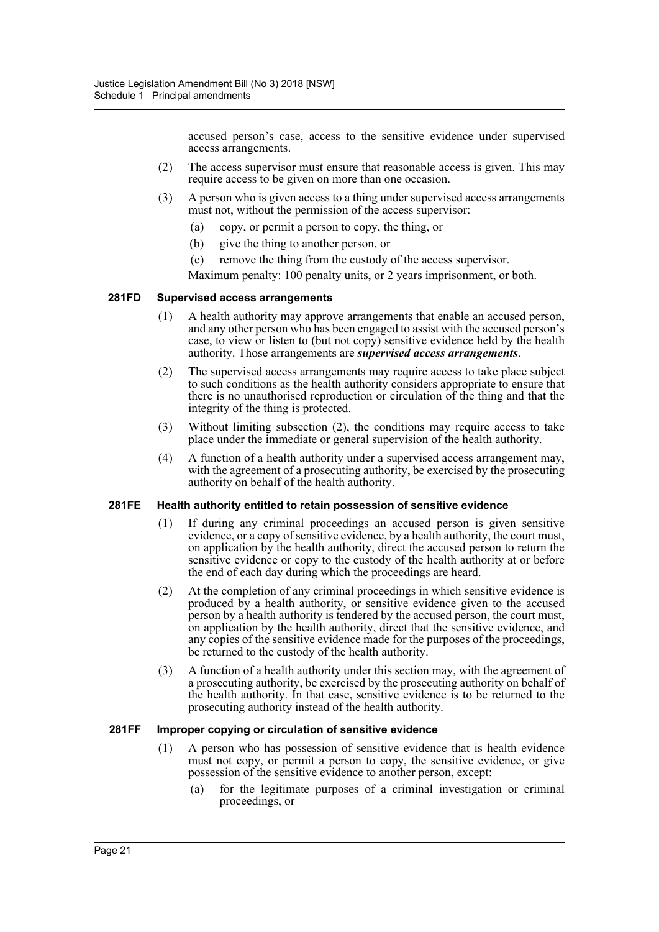accused person's case, access to the sensitive evidence under supervised access arrangements.

- (2) The access supervisor must ensure that reasonable access is given. This may require access to be given on more than one occasion.
- (3) A person who is given access to a thing under supervised access arrangements must not, without the permission of the access supervisor:
	- (a) copy, or permit a person to copy, the thing, or
	- (b) give the thing to another person, or
	- (c) remove the thing from the custody of the access supervisor.

Maximum penalty: 100 penalty units, or 2 years imprisonment, or both.

#### **281FD Supervised access arrangements**

- (1) A health authority may approve arrangements that enable an accused person, and any other person who has been engaged to assist with the accused person's case, to view or listen to (but not copy) sensitive evidence held by the health authority. Those arrangements are *supervised access arrangements*.
- (2) The supervised access arrangements may require access to take place subject to such conditions as the health authority considers appropriate to ensure that there is no unauthorised reproduction or circulation of the thing and that the integrity of the thing is protected.
- (3) Without limiting subsection (2), the conditions may require access to take place under the immediate or general supervision of the health authority.
- (4) A function of a health authority under a supervised access arrangement may, with the agreement of a prosecuting authority, be exercised by the prosecuting authority on behalf of the health authority.

#### **281FE Health authority entitled to retain possession of sensitive evidence**

- (1) If during any criminal proceedings an accused person is given sensitive evidence, or a copy of sensitive evidence, by a health authority, the court must, on application by the health authority, direct the accused person to return the sensitive evidence or copy to the custody of the health authority at or before the end of each day during which the proceedings are heard.
- (2) At the completion of any criminal proceedings in which sensitive evidence is produced by a health authority, or sensitive evidence given to the accused person by a health authority is tendered by the accused person, the court must, on application by the health authority, direct that the sensitive evidence, and any copies of the sensitive evidence made for the purposes of the proceedings, be returned to the custody of the health authority.
- (3) A function of a health authority under this section may, with the agreement of a prosecuting authority, be exercised by the prosecuting authority on behalf of the health authority. In that case, sensitive evidence is to be returned to the prosecuting authority instead of the health authority.

#### **281FF Improper copying or circulation of sensitive evidence**

- (1) A person who has possession of sensitive evidence that is health evidence must not copy, or permit a person to copy, the sensitive evidence, or give possession of the sensitive evidence to another person, except:
	- (a) for the legitimate purposes of a criminal investigation or criminal proceedings, or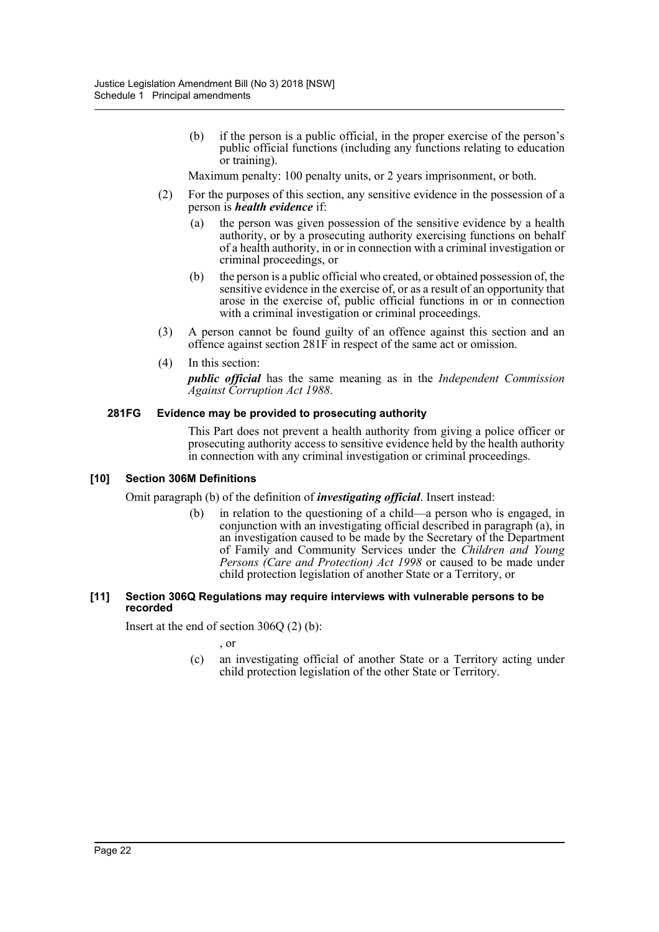(b) if the person is a public official, in the proper exercise of the person's public official functions (including any functions relating to education or training).

Maximum penalty: 100 penalty units, or 2 years imprisonment, or both.

- (2) For the purposes of this section, any sensitive evidence in the possession of a person is *health evidence* if:
	- (a) the person was given possession of the sensitive evidence by a health authority, or by a prosecuting authority exercising functions on behalf of a health authority, in or in connection with a criminal investigation or criminal proceedings, or
	- (b) the person is a public official who created, or obtained possession of, the sensitive evidence in the exercise of, or as a result of an opportunity that arose in the exercise of, public official functions in or in connection with a criminal investigation or criminal proceedings.
- (3) A person cannot be found guilty of an offence against this section and an offence against section 281F in respect of the same act or omission.
- (4) In this section:

*public official* has the same meaning as in the *Independent Commission Against Corruption Act 1988*.

## **281FG Evidence may be provided to prosecuting authority**

This Part does not prevent a health authority from giving a police officer or prosecuting authority access to sensitive evidence held by the health authority in connection with any criminal investigation or criminal proceedings.

## **[10] Section 306M Definitions**

Omit paragraph (b) of the definition of *investigating official*. Insert instead:

(b) in relation to the questioning of a child—a person who is engaged, in conjunction with an investigating official described in paragraph (a), in an investigation caused to be made by the Secretary of the Department of Family and Community Services under the *Children and Young Persons (Care and Protection) Act 1998* or caused to be made under child protection legislation of another State or a Territory, or

#### **[11] Section 306Q Regulations may require interviews with vulnerable persons to be recorded**

Insert at the end of section 306Q (2) (b):

, or

(c) an investigating official of another State or a Territory acting under child protection legislation of the other State or Territory.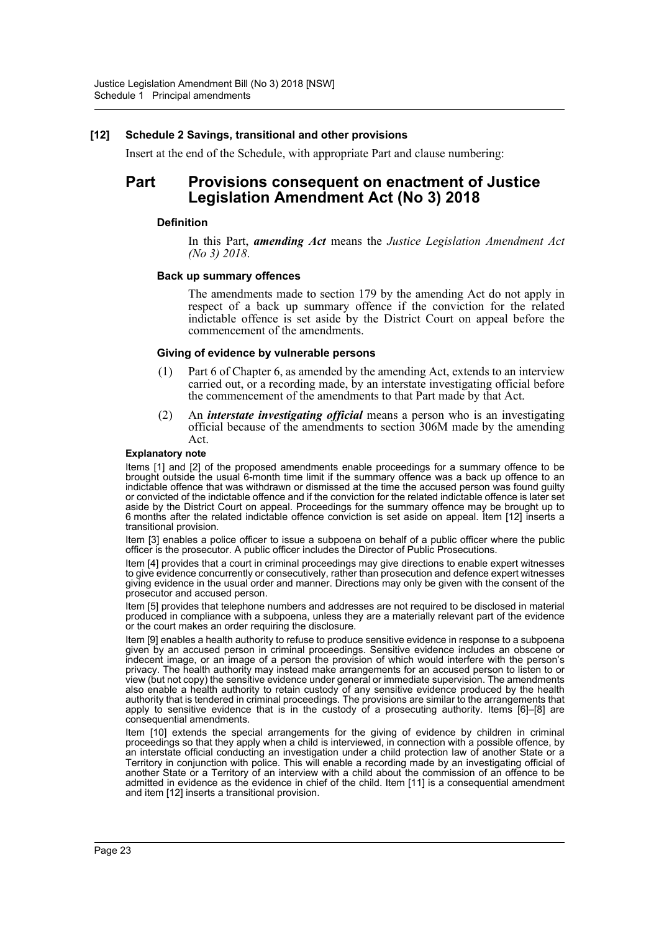## **[12] Schedule 2 Savings, transitional and other provisions**

Insert at the end of the Schedule, with appropriate Part and clause numbering:

# **Part Provisions consequent on enactment of Justice Legislation Amendment Act (No 3) 2018**

#### **Definition**

In this Part, *amending Act* means the *Justice Legislation Amendment Act (No 3) 2018*.

#### **Back up summary offences**

The amendments made to section 179 by the amending Act do not apply in respect of a back up summary offence if the conviction for the related indictable offence is set aside by the District Court on appeal before the commencement of the amendments.

#### **Giving of evidence by vulnerable persons**

- (1) Part 6 of Chapter 6, as amended by the amending Act, extends to an interview carried out, or a recording made, by an interstate investigating official before the commencement of the amendments to that Part made by that Act.
- (2) An *interstate investigating official* means a person who is an investigating official because of the amendments to section 306M made by the amending Act.

#### **Explanatory note**

Items [1] and [2] of the proposed amendments enable proceedings for a summary offence to be brought outside the usual 6-month time limit if the summary offence was a back up offence to an indictable offence that was withdrawn or dismissed at the time the accused person was found guilty or convicted of the indictable offence and if the conviction for the related indictable offence is later set aside by the District Court on appeal. Proceedings for the summary offence may be brought up to 6 months after the related indictable offence conviction is set aside on appeal. Item [12] inserts a transitional provision.

Item [3] enables a police officer to issue a subpoena on behalf of a public officer where the public officer is the prosecutor. A public officer includes the Director of Public Prosecutions.

Item [4] provides that a court in criminal proceedings may give directions to enable expert witnesses to give evidence concurrently or consecutively, rather than prosecution and defence expert witnesses giving evidence in the usual order and manner. Directions may only be given with the consent of the prosecutor and accused person.

Item [5] provides that telephone numbers and addresses are not required to be disclosed in material produced in compliance with a subpoena, unless they are a materially relevant part of the evidence or the court makes an order requiring the disclosure.

Item [9] enables a health authority to refuse to produce sensitive evidence in response to a subpoena given by an accused person in criminal proceedings. Sensitive evidence includes an obscene or indecent image, or an image of a person the provision of which would interfere with the person's privacy. The health authority may instead make arrangements for an accused person to listen to or view (but not copy) the sensitive evidence under general or immediate supervision. The amendments also enable a health authority to retain custody of any sensitive evidence produced by the health authority that is tendered in criminal proceedings. The provisions are similar to the arrangements that apply to sensitive evidence that is in the custody of a prosecuting authority. Items [6]–[8] are consequential amendments.

Item [10] extends the special arrangements for the giving of evidence by children in criminal proceedings so that they apply when a child is interviewed, in connection with a possible offence, by an interstate official conducting an investigation under a child protection law of another State or a Territory in conjunction with police. This will enable a recording made by an investigating official of another State or a Territory of an interview with a child about the commission of an offence to be admitted in evidence as the evidence in chief of the child. Item [11] is a consequential amendment and item [12] inserts a transitional provision.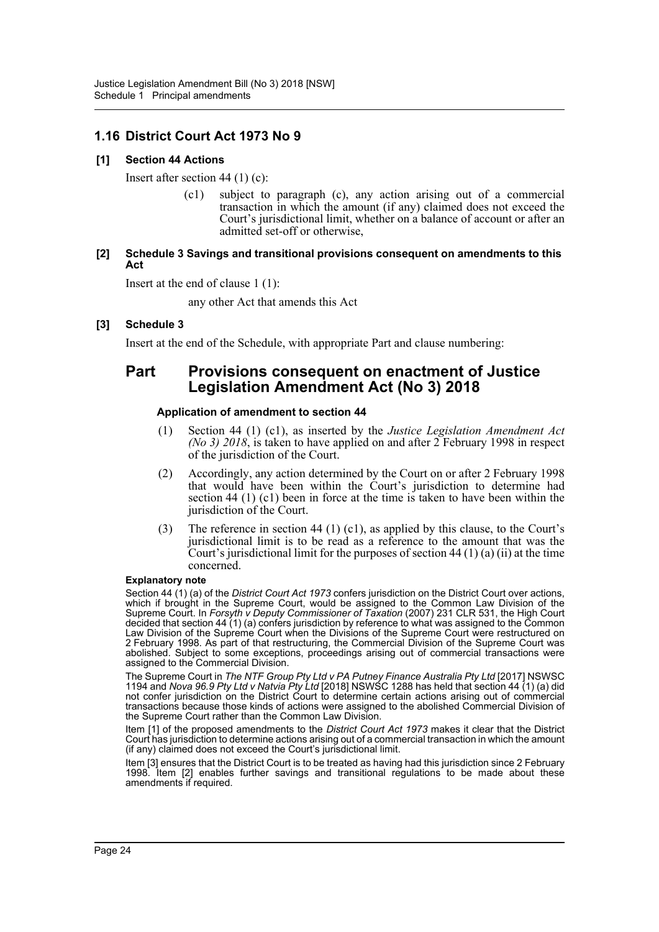# **1.16 District Court Act 1973 No 9**

## **[1] Section 44 Actions**

Insert after section 44 (1) (c):

(c1) subject to paragraph (c), any action arising out of a commercial transaction in which the amount (if any) claimed does not exceed the Court's jurisdictional limit, whether on a balance of account or after an admitted set-off or otherwise,

## **[2] Schedule 3 Savings and transitional provisions consequent on amendments to this Act**

Insert at the end of clause 1 (1):

any other Act that amends this Act

## **[3] Schedule 3**

Insert at the end of the Schedule, with appropriate Part and clause numbering:

# **Part Provisions consequent on enactment of Justice Legislation Amendment Act (No 3) 2018**

## **Application of amendment to section 44**

- (1) Section 44 (1) (c1), as inserted by the *Justice Legislation Amendment Act (No 3) 2018*, is taken to have applied on and after 2 February 1998 in respect of the jurisdiction of the Court.
- (2) Accordingly, any action determined by the Court on or after 2 February 1998 that would have been within the Court's jurisdiction to determine had section 44 (1) (c1) been in force at the time is taken to have been within the jurisdiction of the Court.
- (3) The reference in section 44 (1) (c1), as applied by this clause, to the Court's jurisdictional limit is to be read as a reference to the amount that was the Court's jurisdictional limit for the purposes of section 44  $(1)$  (a) (ii) at the time concerned.

#### **Explanatory note**

Section 44 (1) (a) of the *District Court Act 1973* confers jurisdiction on the District Court over actions, which if brought in the Supreme Court, would be assigned to the Common Law Division of the Supreme Court. In *Forsyth v Deputy Commissioner of Taxation* (2007) 231 CLR 531, the High Court decided that section 44 (1) (a) confers jurisdiction by reference to what was assigned to the Common Law Division of the Supreme Court when the Divisions of the Supreme Court were restructured on 2 February 1998. As part of that restructuring, the Commercial Division of the Supreme Court was abolished. Subject to some exceptions, proceedings arising out of commercial transactions were assigned to the Commercial Division.

The Supreme Court in *The NTF Group Pty Ltd v PA Putney Finance Australia Pty Ltd* [2017] NSWSC 1194 and *Nova 96.9 Pty Ltd v Natvia Pty Ltd* [2018] NSWSC 1288 has held that section 44 (1) (a) did not confer jurisdiction on the District Court to determine certain actions arising out of commercial transactions because those kinds of actions were assigned to the abolished Commercial Division of the Supreme Court rather than the Common Law Division.

Item [1] of the proposed amendments to the *District Court Act 1973* makes it clear that the District Court has jurisdiction to determine actions arising out of a commercial transaction in which the amount (if any) claimed does not exceed the Court's jurisdictional limit.

Item [3] ensures that the District Court is to be treated as having had this jurisdiction since 2 February 1998. Item [2] enables further savings and transitional regulations to be made about these amendments if required.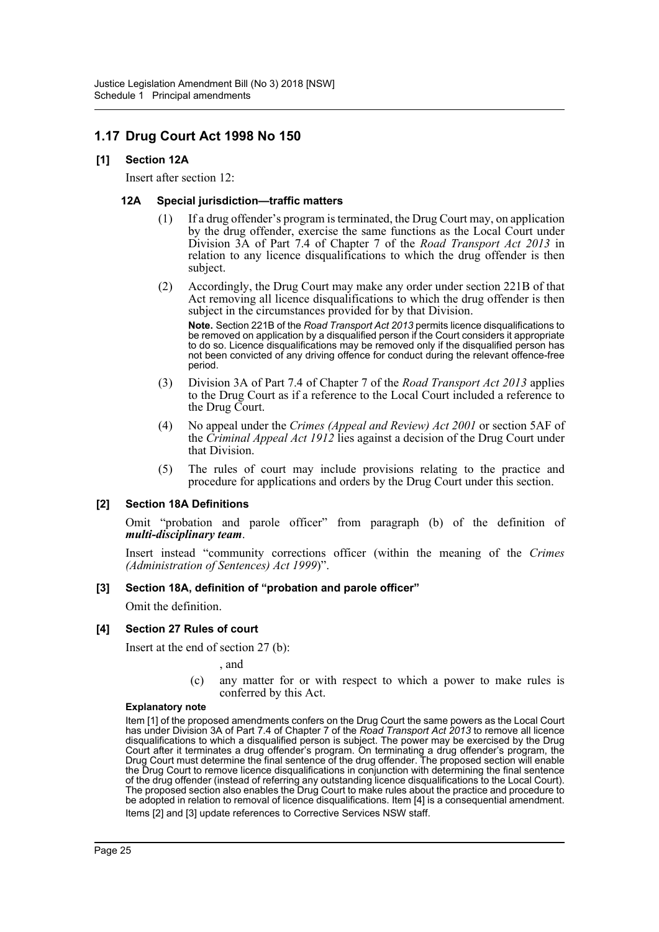# **1.17 Drug Court Act 1998 No 150**

## **[1] Section 12A**

Insert after section 12:

## **12A Special jurisdiction—traffic matters**

- (1) If a drug offender's program is terminated, the Drug Court may, on application by the drug offender, exercise the same functions as the Local Court under Division 3A of Part 7.4 of Chapter 7 of the *Road Transport Act 2013* in relation to any licence disqualifications to which the drug offender is then subject.
- (2) Accordingly, the Drug Court may make any order under section 221B of that Act removing all licence disqualifications to which the drug offender is then subject in the circumstances provided for by that Division.

**Note.** Section 221B of the *Road Transport Act 2013* permits licence disqualifications to be removed on application by a disqualified person if the Court considers it appropriate to do so. Licence disqualifications may be removed only if the disqualified person has not been convicted of any driving offence for conduct during the relevant offence-free period.

- (3) Division 3A of Part 7.4 of Chapter 7 of the *Road Transport Act 2013* applies to the Drug Court as if a reference to the Local Court included a reference to the Drug Court.
- (4) No appeal under the *Crimes (Appeal and Review) Act 2001* or section 5AF of the *Criminal Appeal Act 1912* lies against a decision of the Drug Court under that Division.
- (5) The rules of court may include provisions relating to the practice and procedure for applications and orders by the Drug Court under this section.

## **[2] Section 18A Definitions**

Omit "probation and parole officer" from paragraph (b) of the definition of *multi-disciplinary team*.

Insert instead "community corrections officer (within the meaning of the *Crimes (Administration of Sentences) Act 1999*)".

## **[3] Section 18A, definition of "probation and parole officer"**

Omit the definition.

## **[4] Section 27 Rules of court**

Insert at the end of section 27 (b):

, and

(c) any matter for or with respect to which a power to make rules is conferred by this Act.

#### **Explanatory note**

Item [1] of the proposed amendments confers on the Drug Court the same powers as the Local Court has under Division 3A of Part 7.4 of Chapter 7 of the *Road Transport Act 2013* to remove all licence disqualifications to which a disqualified person is subject. The power may be exercised by the Drug Court after it terminates a drug offender's program. On terminating a drug offender's program, the Drug Court must determine the final sentence of the drug offender. The proposed section will enable the Drug Court to remove licence disqualifications in conjunction with determining the final sentence of the drug offender (instead of referring any outstanding licence disqualifications to the Local Court). The proposed section also enables the Drug Court to make rules about the practice and procedure to be adopted in relation to removal of licence disqualifications. Item [4] is a consequential amendment. Items [2] and [3] update references to Corrective Services NSW staff.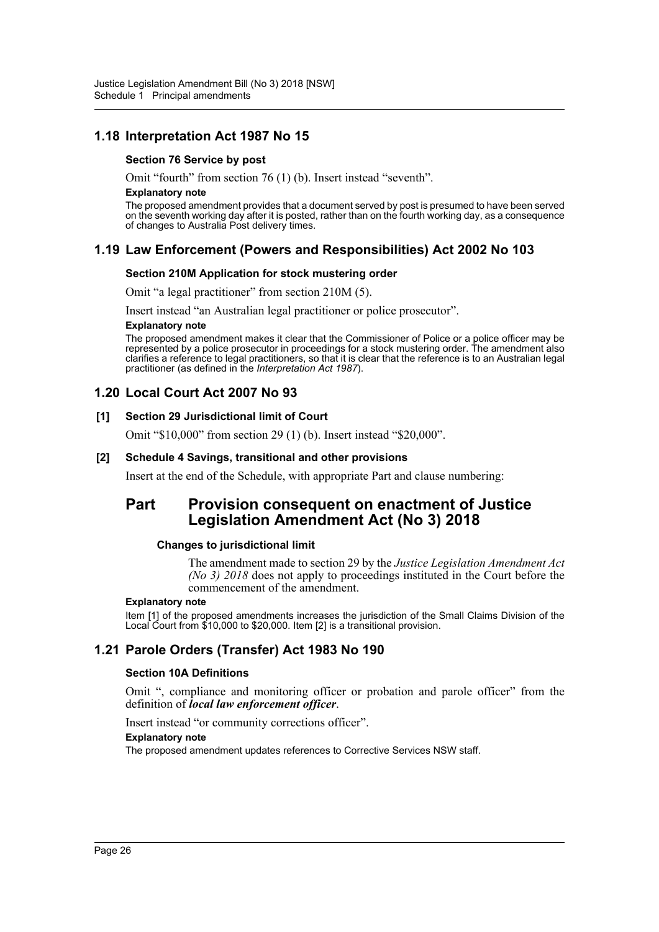# **1.18 Interpretation Act 1987 No 15**

## **Section 76 Service by post**

Omit "fourth" from section 76 (1) (b). Insert instead "seventh".

#### **Explanatory note**

The proposed amendment provides that a document served by post is presumed to have been served on the seventh working day after it is posted, rather than on the fourth working day, as a consequence of changes to Australia Post delivery times.

# **1.19 Law Enforcement (Powers and Responsibilities) Act 2002 No 103**

## **Section 210M Application for stock mustering order**

Omit "a legal practitioner" from section 210M (5).

Insert instead "an Australian legal practitioner or police prosecutor".

#### **Explanatory note**

The proposed amendment makes it clear that the Commissioner of Police or a police officer may be represented by a police prosecutor in proceedings for a stock mustering order. The amendment also clarifies a reference to legal practitioners, so that it is clear that the reference is to an Australian legal practitioner (as defined in the *Interpretation Act 1987*).

# **1.20 Local Court Act 2007 No 93**

## **[1] Section 29 Jurisdictional limit of Court**

Omit "\$10,000" from section 29 (1) (b). Insert instead "\$20,000".

## **[2] Schedule 4 Savings, transitional and other provisions**

Insert at the end of the Schedule, with appropriate Part and clause numbering:

# **Part Provision consequent on enactment of Justice Legislation Amendment Act (No 3) 2018**

## **Changes to jurisdictional limit**

The amendment made to section 29 by the *Justice Legislation Amendment Act (No 3) 2018* does not apply to proceedings instituted in the Court before the commencement of the amendment.

#### **Explanatory note**

Item [1] of the proposed amendments increases the jurisdiction of the Small Claims Division of the Local Court from \$10,000 to \$20,000. Item [2] is a transitional provision.

# **1.21 Parole Orders (Transfer) Act 1983 No 190**

## **Section 10A Definitions**

Omit ", compliance and monitoring officer or probation and parole officer" from the definition of *local law enforcement officer*.

Insert instead "or community corrections officer".

## **Explanatory note**

The proposed amendment updates references to Corrective Services NSW staff.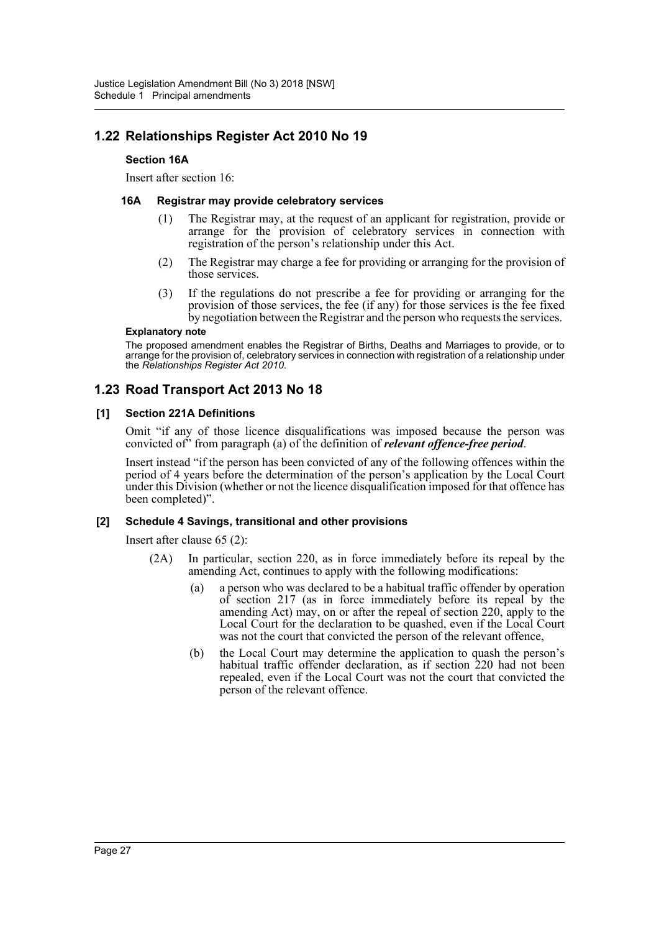# **1.22 Relationships Register Act 2010 No 19**

## **Section 16A**

Insert after section 16:

## **16A Registrar may provide celebratory services**

- (1) The Registrar may, at the request of an applicant for registration, provide or arrange for the provision of celebratory services in connection with registration of the person's relationship under this Act.
- (2) The Registrar may charge a fee for providing or arranging for the provision of those services.
- (3) If the regulations do not prescribe a fee for providing or arranging for the provision of those services, the fee (if any) for those services is the fee fixed by negotiation between the Registrar and the person who requests the services.

#### **Explanatory note**

The proposed amendment enables the Registrar of Births, Deaths and Marriages to provide, or to arrange for the provision of, celebratory services in connection with registration of a relationship under the *Relationships Register Act 2010*.

# **1.23 Road Transport Act 2013 No 18**

## **[1] Section 221A Definitions**

Omit "if any of those licence disqualifications was imposed because the person was convicted of" from paragraph (a) of the definition of *relevant offence-free period*.

Insert instead "if the person has been convicted of any of the following offences within the period of 4 years before the determination of the person's application by the Local Court under this Division (whether or not the licence disqualification imposed for that offence has been completed)".

## **[2] Schedule 4 Savings, transitional and other provisions**

Insert after clause 65 (2):

- (2A) In particular, section 220, as in force immediately before its repeal by the amending Act, continues to apply with the following modifications:
	- (a) a person who was declared to be a habitual traffic offender by operation of section 217 (as in force immediately before its repeal by the amending Act) may, on or after the repeal of section 220, apply to the Local Court for the declaration to be quashed, even if the Local Court was not the court that convicted the person of the relevant offence,
	- (b) the Local Court may determine the application to quash the person's habitual traffic offender declaration, as if section 220 had not been repealed, even if the Local Court was not the court that convicted the person of the relevant offence.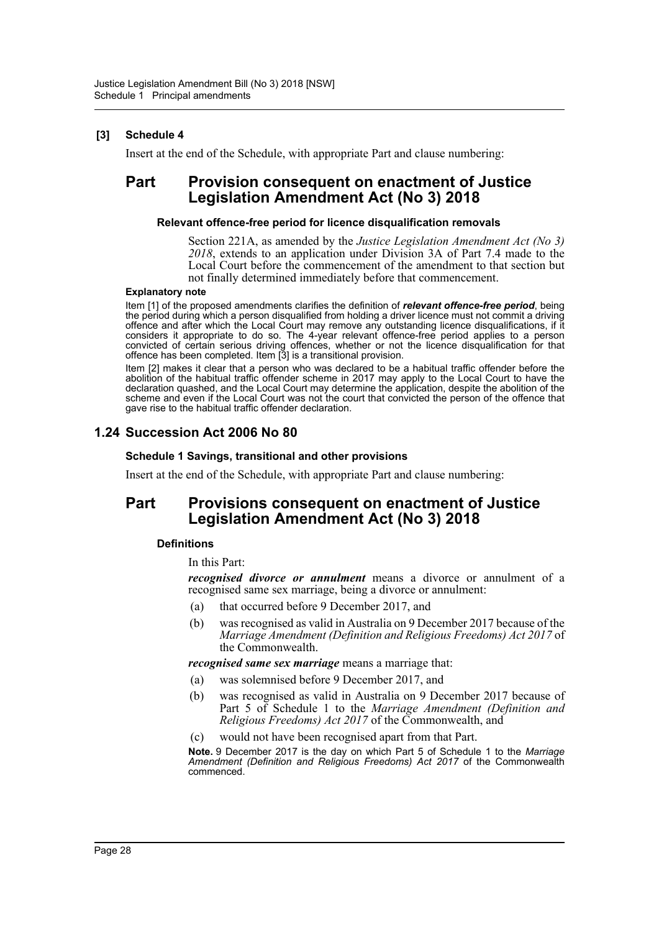# **[3] Schedule 4**

Insert at the end of the Schedule, with appropriate Part and clause numbering:

# **Part Provision consequent on enactment of Justice Legislation Amendment Act (No 3) 2018**

#### **Relevant offence-free period for licence disqualification removals**

Section 221A, as amended by the *Justice Legislation Amendment Act (No 3) 2018*, extends to an application under Division 3A of Part 7.4 made to the Local Court before the commencement of the amendment to that section but not finally determined immediately before that commencement.

#### **Explanatory note**

Item [1] of the proposed amendments clarifies the definition of *relevant offence-free period*, being the period during which a person disqualified from holding a driver licence must not commit a driving offence and after which the Local Court may remove any outstanding licence disqualifications, if it considers it appropriate to do so. The 4-year relevant offence-free period applies to a person convicted of certain serious driving offences, whether or not the licence disqualification for that offence has been completed. Item [3] is a transitional provision.

Item [2] makes it clear that a person who was declared to be a habitual traffic offender before the abolition of the habitual traffic offender scheme in 2017 may apply to the Local Court to have the declaration quashed, and the Local Court may determine the application, despite the abolition of the scheme and even if the Local Court was not the court that convicted the person of the offence that gave rise to the habitual traffic offender declaration.

# **1.24 Succession Act 2006 No 80**

#### **Schedule 1 Savings, transitional and other provisions**

Insert at the end of the Schedule, with appropriate Part and clause numbering:

# **Part Provisions consequent on enactment of Justice Legislation Amendment Act (No 3) 2018**

## **Definitions**

In this Part:

*recognised divorce or annulment* means a divorce or annulment of a recognised same sex marriage, being a divorce or annulment:

- (a) that occurred before 9 December 2017, and
- (b) was recognised as valid in Australia on 9 December 2017 because of the *Marriage Amendment (Definition and Religious Freedoms) Act 2017* of the Commonwealth.

*recognised same sex marriage* means a marriage that:

- (a) was solemnised before 9 December 2017, and
- (b) was recognised as valid in Australia on 9 December 2017 because of Part 5 of Schedule 1 to the *Marriage Amendment (Definition and Religious Freedoms) Act 2017* of the Commonwealth, and
- (c) would not have been recognised apart from that Part.

**Note.** 9 December 2017 is the day on which Part 5 of Schedule 1 to the *Marriage Amendment (Definition and Religious Freedoms) Act 2017* of the Commonwealth commenced.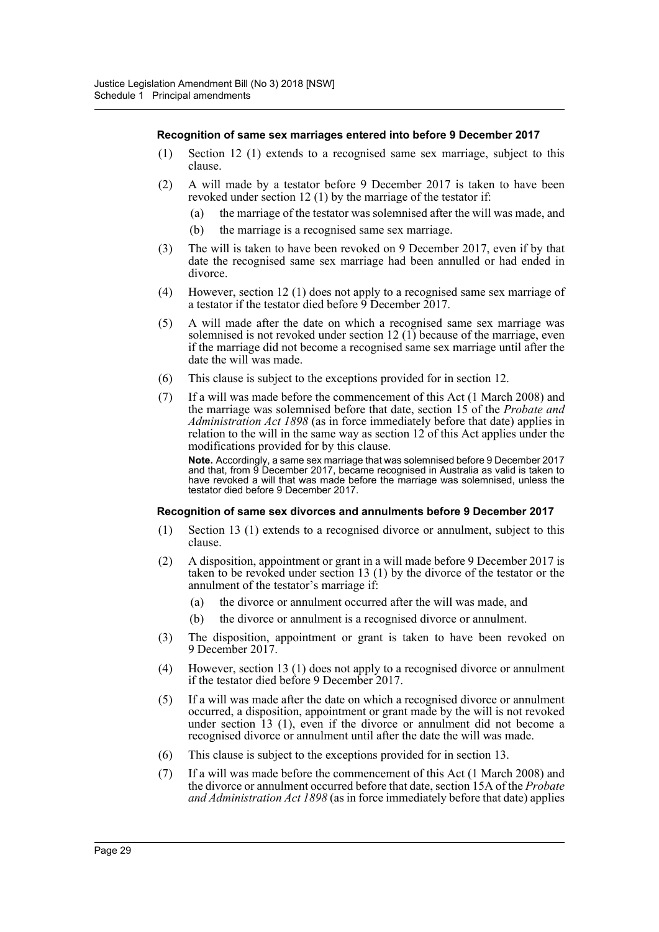#### **Recognition of same sex marriages entered into before 9 December 2017**

- (1) Section 12 (1) extends to a recognised same sex marriage, subject to this clause.
- (2) A will made by a testator before 9 December 2017 is taken to have been revoked under section 12 (1) by the marriage of the testator if:
	- the marriage of the testator was solemnised after the will was made, and
	- (b) the marriage is a recognised same sex marriage.
- (3) The will is taken to have been revoked on 9 December 2017, even if by that date the recognised same sex marriage had been annulled or had ended in divorce.
- (4) However, section 12 (1) does not apply to a recognised same sex marriage of a testator if the testator died before 9 December 2017.
- (5) A will made after the date on which a recognised same sex marriage was solemnised is not revoked under section  $12 \times (1)$  because of the marriage, even if the marriage did not become a recognised same sex marriage until after the date the will was made.
- (6) This clause is subject to the exceptions provided for in section 12.
- (7) If a will was made before the commencement of this Act (1 March 2008) and the marriage was solemnised before that date, section 15 of the *Probate and Administration Act 1898* (as in force immediately before that date) applies in relation to the will in the same way as section 12 of this Act applies under the modifications provided for by this clause.

**Note.** Accordingly, a same sex marriage that was solemnised before 9 December 2017 and that, from 9 December 2017, became recognised in Australia as valid is taken to have revoked a will that was made before the marriage was solemnised, unless the testator died before 9 December 2017.

#### **Recognition of same sex divorces and annulments before 9 December 2017**

- (1) Section 13 (1) extends to a recognised divorce or annulment, subject to this clause.
- (2) A disposition, appointment or grant in a will made before 9 December 2017 is taken to be revoked under section 13 (1) by the divorce of the testator or the annulment of the testator's marriage if:
	- (a) the divorce or annulment occurred after the will was made, and
	- (b) the divorce or annulment is a recognised divorce or annulment.
- (3) The disposition, appointment or grant is taken to have been revoked on 9 December 2017.
- (4) However, section 13 (1) does not apply to a recognised divorce or annulment if the testator died before 9 December 2017.
- (5) If a will was made after the date on which a recognised divorce or annulment occurred, a disposition, appointment or grant made by the will is not revoked under section 13 (1), even if the divorce or annulment did not become a recognised divorce or annulment until after the date the will was made.
- (6) This clause is subject to the exceptions provided for in section 13.
- (7) If a will was made before the commencement of this Act (1 March 2008) and the divorce or annulment occurred before that date, section 15A of the *Probate and Administration Act 1898* (as in force immediately before that date) applies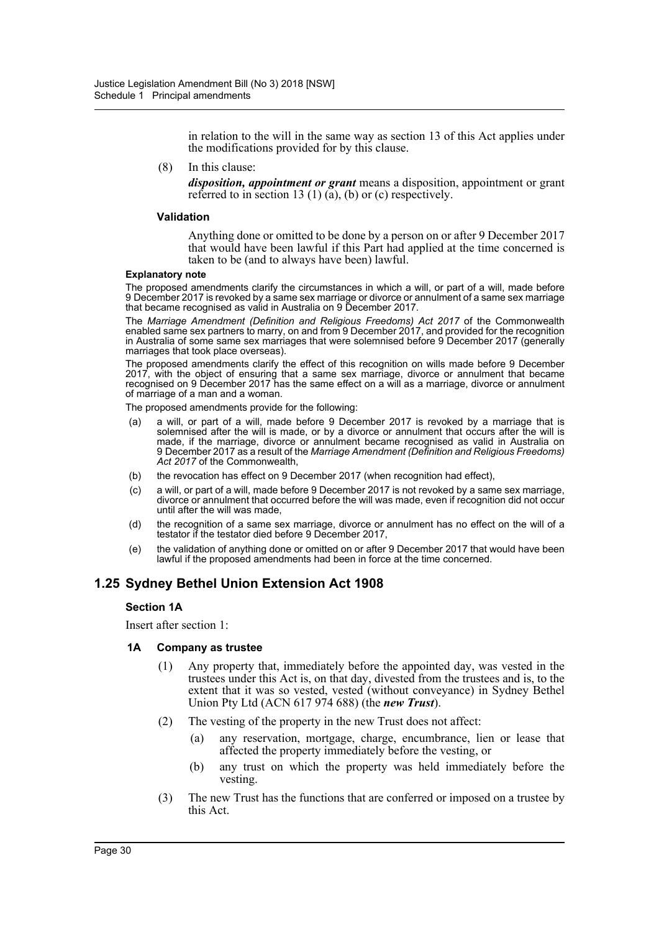in relation to the will in the same way as section 13 of this Act applies under the modifications provided for by this clause.

(8) In this clause:

*disposition, appointment or grant* means a disposition, appointment or grant referred to in section 13 (1) (a), (b) or (c) respectively.

#### **Validation**

Anything done or omitted to be done by a person on or after 9 December 2017 that would have been lawful if this Part had applied at the time concerned is taken to be (and to always have been) lawful.

#### **Explanatory note**

The proposed amendments clarify the circumstances in which a will, or part of a will, made before 9 December 2017 is revoked by a same sex marriage or divorce or annulment of a same sex marriage that became recognised as valid in Australia on 9 December 2017.

The *Marriage Amendment (Definition and Religious Freedoms) Act 2017* of the Commonwealth enabled same sex partners to marry, on and from 9 December 2017, and provided for the recognition in Australia of some same sex marriages that were solemnised before 9 December 2017 (generally marriages that took place overseas).

The proposed amendments clarify the effect of this recognition on wills made before 9 December 2017, with the object of ensuring that a same sex marriage, divorce or annulment that became recognised on 9 December 2017 has the same effect on a will as a marriage, divorce or annulment of marriage of a man and a woman.

The proposed amendments provide for the following:

- (a) a will, or part of a will, made before 9 December 2017 is revoked by a marriage that is solemnised after the will is made, or by a divorce or annulment that occurs after the will is made, if the marriage, divorce or annulment became recognised as valid in Australia on 9 December 2017 as a result of the *Marriage Amendment (Definition and Religious Freedoms) Act 2017* of the Commonwealth,
- (b) the revocation has effect on 9 December 2017 (when recognition had effect),
- (c) a will, or part of a will, made before 9 December 2017 is not revoked by a same sex marriage, divorce or annulment that occurred before the will was made, even if recognition did not occur until after the will was made,
- (d) the recognition of a same sex marriage, divorce or annulment has no effect on the will of a testator if the testator died before 9 December 2017,
- (e) the validation of anything done or omitted on or after 9 December 2017 that would have been lawful if the proposed amendments had been in force at the time concerned.

# **1.25 Sydney Bethel Union Extension Act 1908**

## **Section 1A**

Insert after section 1:

#### **1A Company as trustee**

- (1) Any property that, immediately before the appointed day, was vested in the trustees under this Act is, on that day, divested from the trustees and is, to the extent that it was so vested, vested (without conveyance) in Sydney Bethel Union Pty Ltd (ACN 617 974 688) (the *new Trust*).
- (2) The vesting of the property in the new Trust does not affect:
	- (a) any reservation, mortgage, charge, encumbrance, lien or lease that affected the property immediately before the vesting, or
	- (b) any trust on which the property was held immediately before the vesting.
- (3) The new Trust has the functions that are conferred or imposed on a trustee by this Act.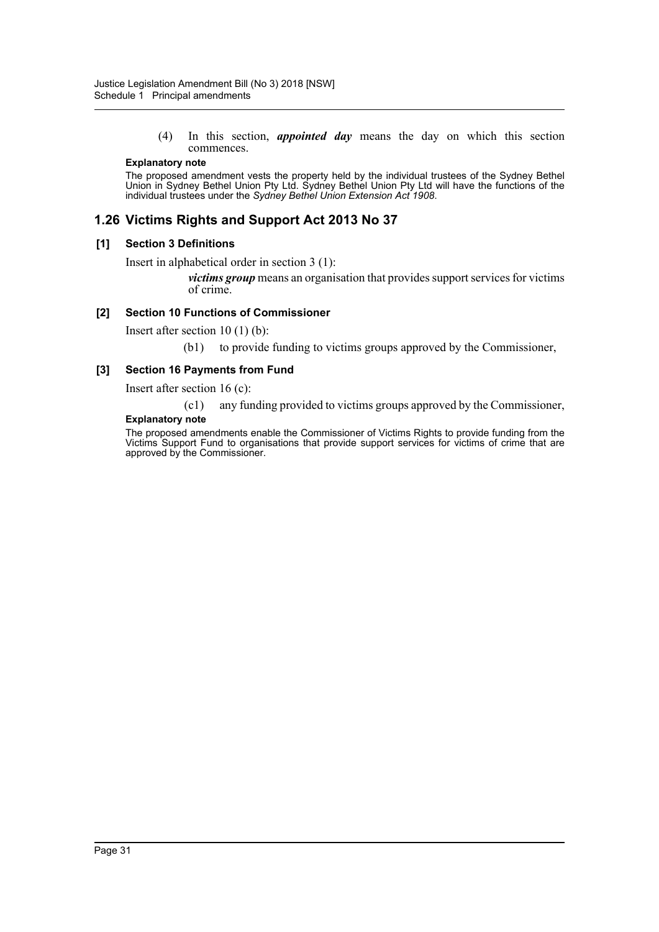(4) In this section, *appointed day* means the day on which this section commences.

#### **Explanatory note**

The proposed amendment vests the property held by the individual trustees of the Sydney Bethel Union in Sydney Bethel Union Pty Ltd. Sydney Bethel Union Pty Ltd will have the functions of the individual trustees under the *Sydney Bethel Union Extension Act 1908*.

# **1.26 Victims Rights and Support Act 2013 No 37**

## **[1] Section 3 Definitions**

Insert in alphabetical order in section 3 (1):

*victims group* means an organisation that provides support services for victims of crime.

## **[2] Section 10 Functions of Commissioner**

Insert after section 10 (1) (b):

(b1) to provide funding to victims groups approved by the Commissioner,

## **[3] Section 16 Payments from Fund**

Insert after section 16 (c):

(c1) any funding provided to victims groups approved by the Commissioner,

## **Explanatory note**

The proposed amendments enable the Commissioner of Victims Rights to provide funding from the Victims Support Fund to organisations that provide support services for victims of crime that are approved by the Commissioner.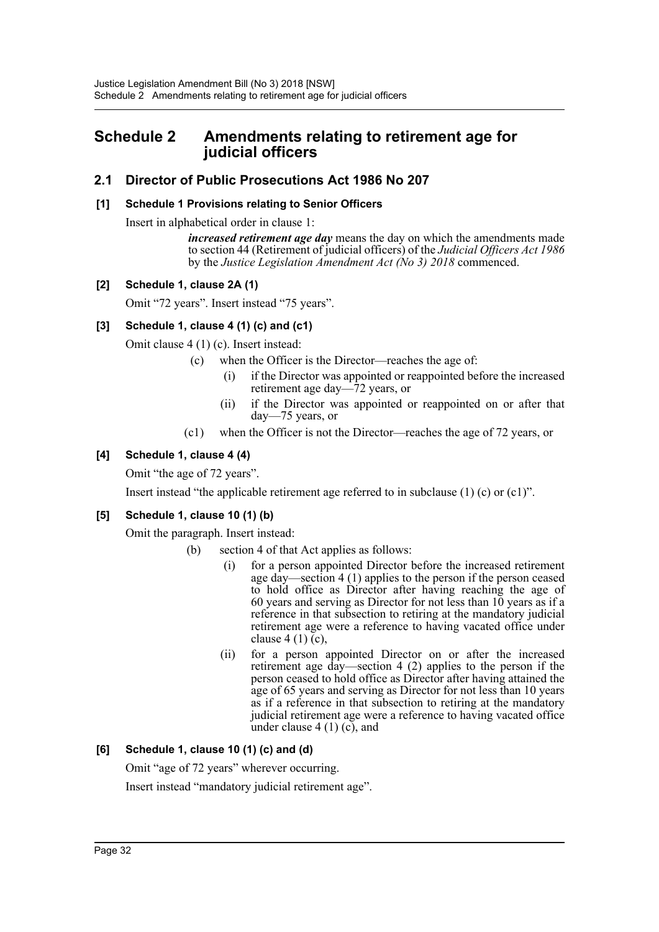# <span id="page-32-0"></span>**Schedule 2 Amendments relating to retirement age for judicial officers**

# **2.1 Director of Public Prosecutions Act 1986 No 207**

# **[1] Schedule 1 Provisions relating to Senior Officers**

Insert in alphabetical order in clause 1:

*increased retirement age day* means the day on which the amendments made to section 44 (Retirement of judicial officers) of the *Judicial Officers Act 1986* by the *Justice Legislation Amendment Act (No 3) 2018* commenced.

# **[2] Schedule 1, clause 2A (1)**

Omit "72 years". Insert instead "75 years".

# **[3] Schedule 1, clause 4 (1) (c) and (c1)**

Omit clause 4 (1) (c). Insert instead:

- (c) when the Officer is the Director—reaches the age of:
	- (i) if the Director was appointed or reappointed before the increased retirement age day—72 years, or
	- (ii) if the Director was appointed or reappointed on or after that day—75 years, or
- (c1) when the Officer is not the Director—reaches the age of 72 years, or

# **[4] Schedule 1, clause 4 (4)**

Omit "the age of 72 years".

Insert instead "the applicable retirement age referred to in subclause (1) (c) or  $(c1)$ ".

# **[5] Schedule 1, clause 10 (1) (b)**

Omit the paragraph. Insert instead:

- (b) section 4 of that Act applies as follows:
	- (i) for a person appointed Director before the increased retirement age day—section 4 (1) applies to the person if the person ceased to hold office as Director after having reaching the age of 60 years and serving as Director for not less than  $10$  years as if a reference in that subsection to retiring at the mandatory judicial retirement age were a reference to having vacated office under clause 4 (1) (c),
	- (ii) for a person appointed Director on or after the increased retirement age day—section 4 (2) applies to the person if the person ceased to hold office as Director after having attained the age of 65 years and serving as Director for not less than 10 years as if a reference in that subsection to retiring at the mandatory judicial retirement age were a reference to having vacated office under clause  $4(1)(c)$ , and

# **[6] Schedule 1, clause 10 (1) (c) and (d)**

Omit "age of 72 years" wherever occurring.

Insert instead "mandatory judicial retirement age".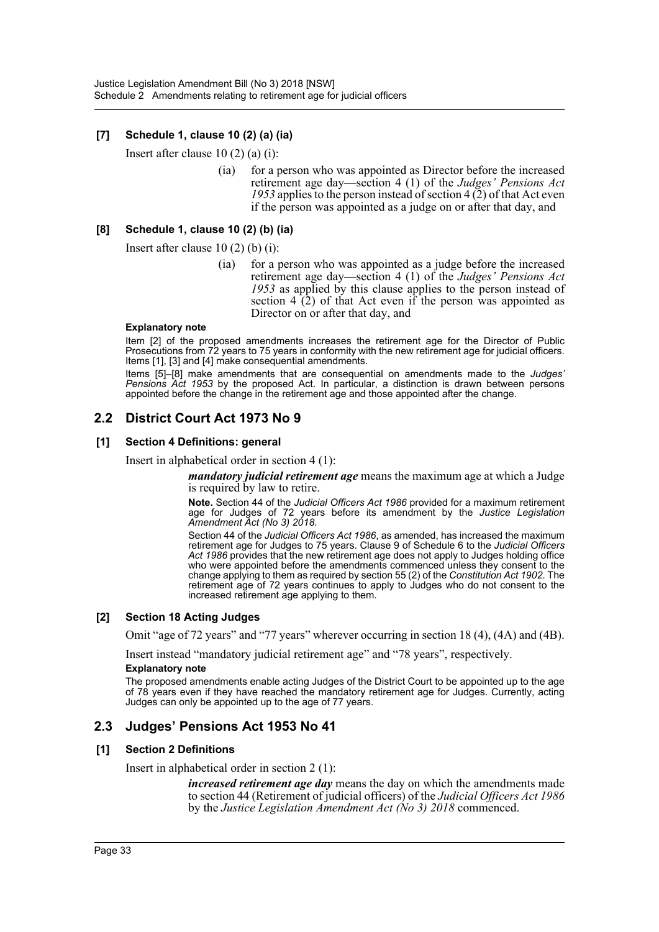# **[7] Schedule 1, clause 10 (2) (a) (ia)**

Insert after clause 10 (2) (a) (i):

(ia) for a person who was appointed as Director before the increased retirement age day—section 4 (1) of the *Judges' Pensions Act 1953* applies to the person instead of section 4 (2) of that Act even if the person was appointed as a judge on or after that day, and

## **[8] Schedule 1, clause 10 (2) (b) (ia)**

Insert after clause 10 (2) (b) (i):

(ia) for a person who was appointed as a judge before the increased retirement age day—section 4 (1) of the *Judges' Pensions Act 1953* as applied by this clause applies to the person instead of section  $4(2)$  of that Act even if the person was appointed as Director on or after that day, and

#### **Explanatory note**

Item [2] of the proposed amendments increases the retirement age for the Director of Public Prosecutions from 72 years to 75 years in conformity with the new retirement age for judicial officers. Items [1], [3] and [4] make consequential amendments.

Items [5]–[8] make amendments that are consequential on amendments made to the *Judges' Pensions Act 1953* by the proposed Act. In particular, a distinction is drawn between persons appointed before the change in the retirement age and those appointed after the change.

# **2.2 District Court Act 1973 No 9**

## **[1] Section 4 Definitions: general**

Insert in alphabetical order in section 4 (1):

*mandatory judicial retirement age* means the maximum age at which a Judge is required by law to retire.

**Note.** Section 44 of the *Judicial Officers Act 1986* provided for a maximum retirement age for Judges of 72 years before its amendment by the *Justice Legislation Amendment Act (No 3) 2018*.

Section 44 of the *Judicial Officers Act 1986*, as amended, has increased the maximum retirement age for Judges to 75 years. Clause 9 of Schedule 6 to the *Judicial Officers Act 1986* provides that the new retirement age does not apply to Judges holding office who were appointed before the amendments commenced unless they consent to the change applying to them as required by section 55 (2) of the *Constitution Act 1902*. The retirement age of 72 years continues to apply to Judges who do not consent to the increased retirement age applying to them.

## **[2] Section 18 Acting Judges**

Omit "age of 72 years" and "77 years" wherever occurring in section 18 (4), (4A) and (4B).

Insert instead "mandatory judicial retirement age" and "78 years", respectively.

#### **Explanatory note**

The proposed amendments enable acting Judges of the District Court to be appointed up to the age of 78 years even if they have reached the mandatory retirement age for Judges. Currently, acting Judges can only be appointed up to the age of 77 years.

# **2.3 Judges' Pensions Act 1953 No 41**

## **[1] Section 2 Definitions**

Insert in alphabetical order in section 2 (1):

*increased retirement age day* means the day on which the amendments made to section 44 (Retirement of judicial officers) of the *Judicial Officers Act 1986* by the *Justice Legislation Amendment Act (No 3) 2018* commenced.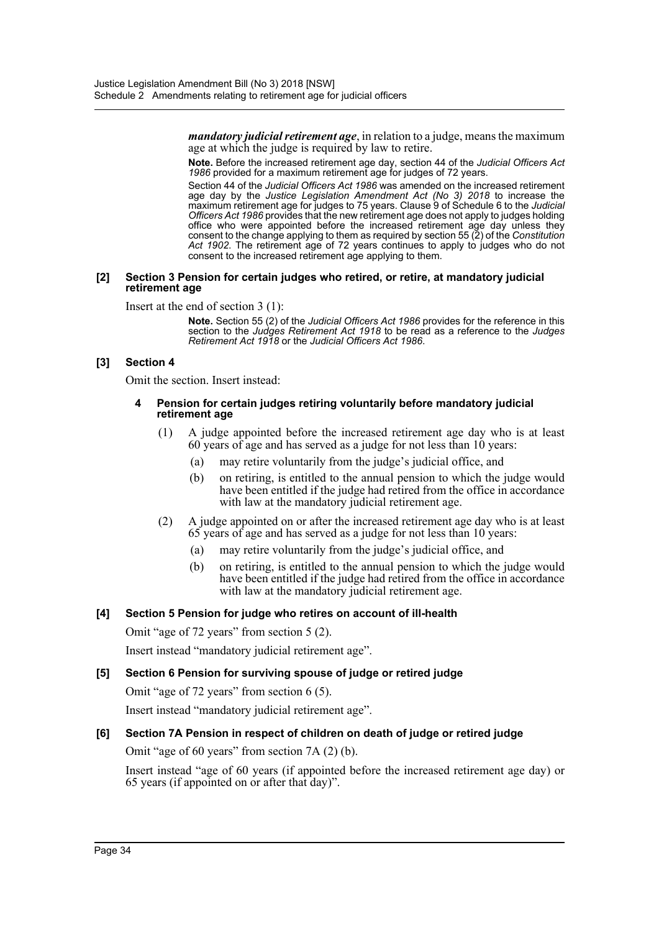*mandatory judicial retirement age*, in relation to a judge, means the maximum age at which the judge is required by law to retire.

**Note.** Before the increased retirement age day, section 44 of the *Judicial Officers Act 1986* provided for a maximum retirement age for judges of 72 years.

Section 44 of the *Judicial Officers Act 1986* was amended on the increased retirement age day by the *Justice Legislation Amendment Act (No 3) 2018* to increase the maximum retirement age for judges to 75 years. Clause 9 of Schedule 6 to the *Judicial Officers Act 1986* provides that the new retirement age does not apply to judges holding office who were appointed before the increased retirement age day unless they consent to the change applying to them as required by section 55 (2) of the *Constitution Act 1902*. The retirement age of 72 years continues to apply to judges who do not consent to the increased retirement age applying to them.

#### **[2] Section 3 Pension for certain judges who retired, or retire, at mandatory judicial retirement age**

Insert at the end of section 3 (1):

**Note.** Section 55 (2) of the *Judicial Officers Act 1986* provides for the reference in this section to the *Judges Retirement Act 1918* to be read as a reference to the *Judges Retirement Act 1918* or the *Judicial Officers Act 1986*.

## **[3] Section 4**

Omit the section. Insert instead:

#### **4 Pension for certain judges retiring voluntarily before mandatory judicial retirement age**

- (1) A judge appointed before the increased retirement age day who is at least 60 years of age and has served as a judge for not less than 10 years:
	- (a) may retire voluntarily from the judge's judicial office, and
	- (b) on retiring, is entitled to the annual pension to which the judge would have been entitled if the judge had retired from the office in accordance with law at the mandatory judicial retirement age.
- (2) A judge appointed on or after the increased retirement age day who is at least 65 years of age and has served as a judge for not less than 10 years:
	- (a) may retire voluntarily from the judge's judicial office, and
	- (b) on retiring, is entitled to the annual pension to which the judge would have been entitled if the judge had retired from the office in accordance with law at the mandatory judicial retirement age.

# **[4] Section 5 Pension for judge who retires on account of ill-health**

Omit "age of 72 years" from section 5 (2).

Insert instead "mandatory judicial retirement age".

## **[5] Section 6 Pension for surviving spouse of judge or retired judge**

Omit "age of 72 years" from section 6 (5).

Insert instead "mandatory judicial retirement age".

# **[6] Section 7A Pension in respect of children on death of judge or retired judge**

Omit "age of 60 years" from section 7A (2) (b).

Insert instead "age of 60 years (if appointed before the increased retirement age day) or 65 years (if appointed on or after that day)".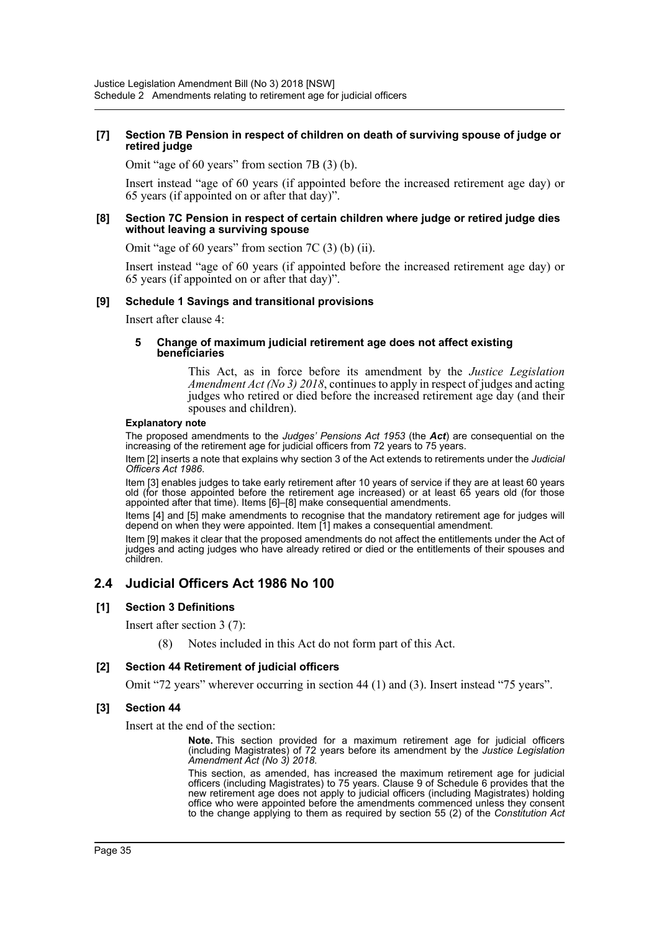#### **[7] Section 7B Pension in respect of children on death of surviving spouse of judge or retired judge**

Omit "age of 60 years" from section 7B (3) (b).

Insert instead "age of 60 years (if appointed before the increased retirement age day) or 65 years (if appointed on or after that day)".

#### **[8] Section 7C Pension in respect of certain children where judge or retired judge dies without leaving a surviving spouse**

Omit "age of 60 years" from section 7C (3) (b) (ii).

Insert instead "age of 60 years (if appointed before the increased retirement age day) or 65 years (if appointed on or after that day)".

#### **[9] Schedule 1 Savings and transitional provisions**

Insert after clause 4:

#### **5 Change of maximum judicial retirement age does not affect existing beneficiaries**

This Act, as in force before its amendment by the *Justice Legislation Amendment Act (No 3) 2018*, continues to apply in respect of judges and acting judges who retired or died before the increased retirement age day (and their spouses and children).

#### **Explanatory note**

The proposed amendments to the *Judges' Pensions Act 1953* (the *Act*) are consequential on the increasing of the retirement age for judicial officers from 72 years to 75 years.

Item [2] inserts a note that explains why section 3 of the Act extends to retirements under the *Judicial Officers Act 1986*.

Item [3] enables judges to take early retirement after 10 years of service if they are at least 60 years old (for those appointed before the retirement age increased) or at least 65 years old (for those appointed after that time). Items [6]–[8] make consequential amendments.

Items [4] and [5] make amendments to recognise that the mandatory retirement age for judges will depend on when they were appointed. Item [1] makes a consequential amendment.

Item [9] makes it clear that the proposed amendments do not affect the entitlements under the Act of judges and acting judges who have already retired or died or the entitlements of their spouses and children.

# **2.4 Judicial Officers Act 1986 No 100**

## **[1] Section 3 Definitions**

Insert after section 3 (7):

(8) Notes included in this Act do not form part of this Act.

#### **[2] Section 44 Retirement of judicial officers**

Omit "72 years" wherever occurring in section 44 (1) and (3). Insert instead "75 years".

#### **[3] Section 44**

Insert at the end of the section:

**Note.** This section provided for a maximum retirement age for judicial officers (including Magistrates) of 72 years before its amendment by the *Justice Legislation Amendment Act (No 3) 2018*.

This section, as amended, has increased the maximum retirement age for judicial officers (including Magistrates) to 75 years. Clause 9 of Schedule 6 provides that the new retirement age does not apply to judicial officers (including Magistrates) holding office who were appointed before the amendments commenced unless they consent to the change applying to them as required by section 55 (2) of the *Constitution Act*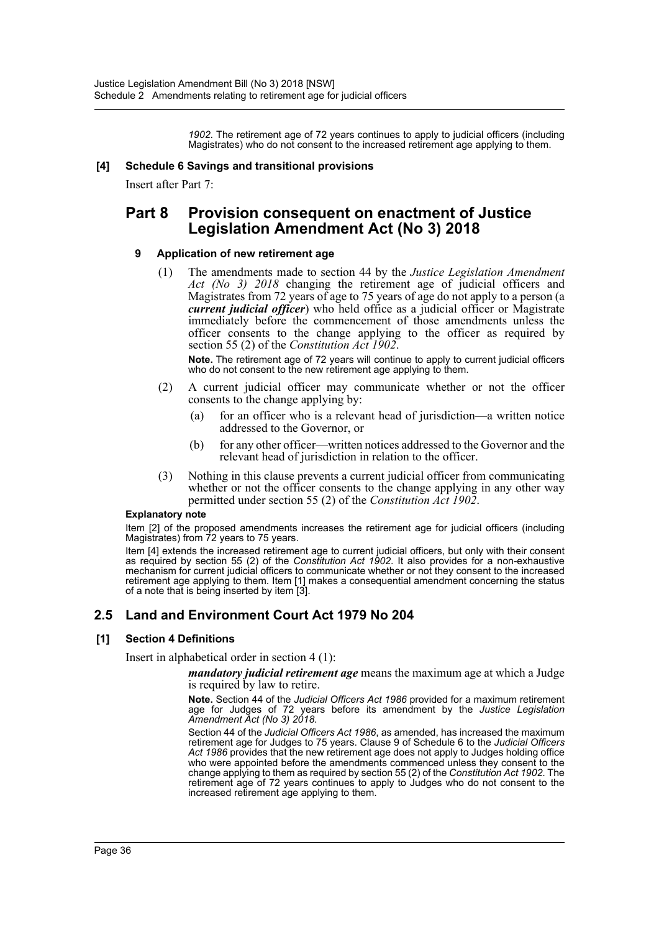*1902*. The retirement age of 72 years continues to apply to judicial officers (including Magistrates) who do not consent to the increased retirement age applying to them.

#### **[4] Schedule 6 Savings and transitional provisions**

Insert after Part 7:

# **Part 8 Provision consequent on enactment of Justice Legislation Amendment Act (No 3) 2018**

## **9 Application of new retirement age**

(1) The amendments made to section 44 by the *Justice Legislation Amendment Act (No 3) 2018* changing the retirement age of judicial officers and Magistrates from 72 years of age to 75 years of age do not apply to a person (a *current judicial officer*) who held office as a judicial officer or Magistrate immediately before the commencement of those amendments unless the officer consents to the change applying to the officer as required by section 55 (2) of the *Constitution Act 1902*.

**Note.** The retirement age of 72 years will continue to apply to current judicial officers who do not consent to the new retirement age applying to them.

- (2) A current judicial officer may communicate whether or not the officer consents to the change applying by:
	- (a) for an officer who is a relevant head of jurisdiction—a written notice addressed to the Governor, or
	- (b) for any other officer—written notices addressed to the Governor and the relevant head of jurisdiction in relation to the officer.
- (3) Nothing in this clause prevents a current judicial officer from communicating whether or not the officer consents to the change applying in any other way permitted under section 55 (2) of the *Constitution Act 1902*.

#### **Explanatory note**

Item [2] of the proposed amendments increases the retirement age for judicial officers (including Magistrates) from 72 years to 75 years.

Item [4] extends the increased retirement age to current judicial officers, but only with their consent as required by section 55 (2) of the *Constitution Act 1902*. It also provides for a non-exhaustive mechanism for current judicial officers to communicate whether or not they consent to the increased retirement age applying to them. Item [1] makes a consequential amendment concerning the status of a note that is being inserted by item [3].

# **2.5 Land and Environment Court Act 1979 No 204**

## **[1] Section 4 Definitions**

Insert in alphabetical order in section 4 (1):

*mandatory judicial retirement age* means the maximum age at which a Judge is required by law to retire.

**Note.** Section 44 of the *Judicial Officers Act 1986* provided for a maximum retirement age for Judges of 72 years before its amendment by the *Justice Legislation Amendment Act (No 3) 2018*.

Section 44 of the *Judicial Officers Act 1986*, as amended, has increased the maximum retirement age for Judges to 75 years. Clause 9 of Schedule 6 to the *Judicial Officers Act 1986* provides that the new retirement age does not apply to Judges holding office who were appointed before the amendments commenced unless they consent to the change applying to them as required by section 55 (2) of the *Constitution Act 1902*. The retirement age of 72 years continues to apply to Judges who do not consent to the increased retirement age applying to them.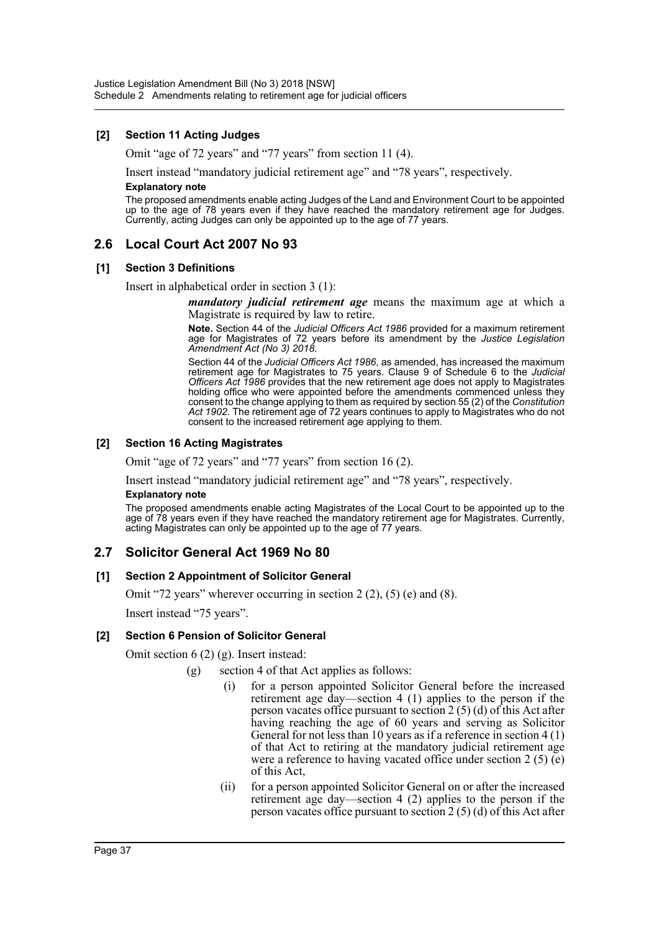## **[2] Section 11 Acting Judges**

Omit "age of 72 years" and "77 years" from section 11 (4).

Insert instead "mandatory judicial retirement age" and "78 years", respectively. **Explanatory note**

The proposed amendments enable acting Judges of the Land and Environment Court to be appointed up to the age of 78 years even if they have reached the mandatory retirement age for Judges. Currently, acting Judges can only be appointed up to the age of 77 years.

# **2.6 Local Court Act 2007 No 93**

## **[1] Section 3 Definitions**

Insert in alphabetical order in section 3 (1):

*mandatory judicial retirement age* means the maximum age at which a Magistrate is required by law to retire.

**Note.** Section 44 of the *Judicial Officers Act 1986* provided for a maximum retirement age for Magistrates of 72 years before its amendment by the *Justice Legislation Amendment Act (No 3) 2018*.

Section 44 of the *Judicial Officers Act 1986*, as amended, has increased the maximum retirement age for Magistrates to 75 years. Clause 9 of Schedule 6 to the *Judicial Officers Act 1986* provides that the new retirement age does not apply to Magistrates holding office who were appointed before the amendments commenced unless they consent to the change applying to them as required by section 55 (2) of the *Constitution Act 1902*. The retirement age of 72 years continues to apply to Magistrates who do not consent to the increased retirement age applying to them.

## **[2] Section 16 Acting Magistrates**

Omit "age of 72 years" and "77 years" from section 16 (2).

Insert instead "mandatory judicial retirement age" and "78 years", respectively.

#### **Explanatory note**

The proposed amendments enable acting Magistrates of the Local Court to be appointed up to the age of 78 years even if they have reached the mandatory retirement age for Magistrates. Currently, acting Magistrates can only be appointed up to the age of 77 years.

# **2.7 Solicitor General Act 1969 No 80**

## **[1] Section 2 Appointment of Solicitor General**

Omit "72 years" wherever occurring in section 2 (2), (5) (e) and (8).

Insert instead "75 years".

## **[2] Section 6 Pension of Solicitor General**

Omit section 6 (2) (g). Insert instead:

- (g) section 4 of that Act applies as follows:
	- (i) for a person appointed Solicitor General before the increased retirement age day—section 4 (1) applies to the person if the person vacates office pursuant to section 2 (5) (d) of this Act after having reaching the age of 60 years and serving as Solicitor General for not less than 10 years as if a reference in section 4 (1) of that Act to retiring at the mandatory judicial retirement age were a reference to having vacated office under section 2 (5) (e) of this Act,
	- (ii) for a person appointed Solicitor General on or after the increased retirement age day—section 4 (2) applies to the person if the person vacates office pursuant to section  $2(5)(d)$  of this Act after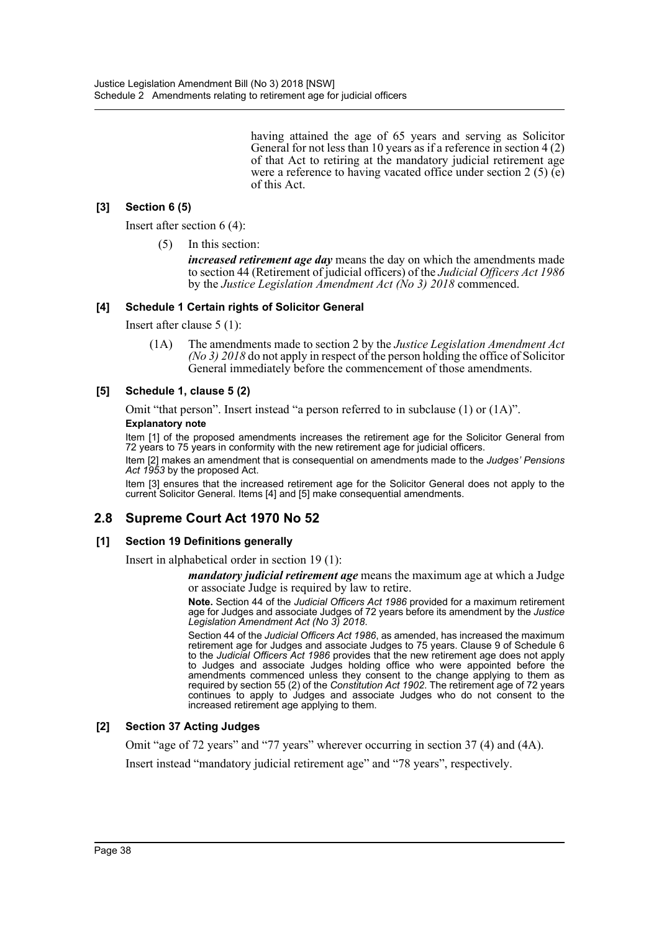having attained the age of 65 years and serving as Solicitor General for not less than 10 years as if a reference in section 4 (2) of that Act to retiring at the mandatory judicial retirement age were a reference to having vacated office under section 2 (5) (e) of this Act.

# **[3] Section 6 (5)**

Insert after section 6 (4):

(5) In this section:

*increased retirement age day* means the day on which the amendments made to section 44 (Retirement of judicial officers) of the *Judicial Officers Act 1986* by the *Justice Legislation Amendment Act (No 3) 2018* commenced.

## **[4] Schedule 1 Certain rights of Solicitor General**

Insert after clause 5 (1):

(1A) The amendments made to section 2 by the *Justice Legislation Amendment Act (No 3) 2018* do not apply in respect of the person holding the office of Solicitor General immediately before the commencement of those amendments.

## **[5] Schedule 1, clause 5 (2)**

Omit "that person". Insert instead "a person referred to in subclause (1) or (1A)".

#### **Explanatory note**

Item [1] of the proposed amendments increases the retirement age for the Solicitor General from 72 years to 75 years in conformity with the new retirement age for judicial officers.

Item [2] makes an amendment that is consequential on amendments made to the *Judges' Pensions Act 1953* by the proposed Act.

Item [3] ensures that the increased retirement age for the Solicitor General does not apply to the current Solicitor General. Items [4] and [5] make consequential amendments.

# **2.8 Supreme Court Act 1970 No 52**

## **[1] Section 19 Definitions generally**

Insert in alphabetical order in section 19 (1):

*mandatory judicial retirement age* means the maximum age at which a Judge or associate Judge is required by law to retire.

**Note.** Section 44 of the *Judicial Officers Act 1986* provided for a maximum retirement age for Judges and associate Judges of 72 years before its amendment by the *Justice Legislation Amendment Act (No 3) 2018*.

Section 44 of the *Judicial Officers Act 1986*, as amended, has increased the maximum retirement age for Judges and associate Judges to 75 years. Clause 9 of Schedule 6 to the *Judicial Officers Act 1986* provides that the new retirement age does not apply to Judges and associate Judges holding office who were appointed before the amendments commenced unless they consent to the change applying to them as required by section 55 (2) of the *Constitution Act 1902*. The retirement age of 72 years continues to apply to Judges and associate Judges who do not consent to the increased retirement age applying to them.

## **[2] Section 37 Acting Judges**

Omit "age of 72 years" and "77 years" wherever occurring in section 37 (4) and (4A).

Insert instead "mandatory judicial retirement age" and "78 years", respectively.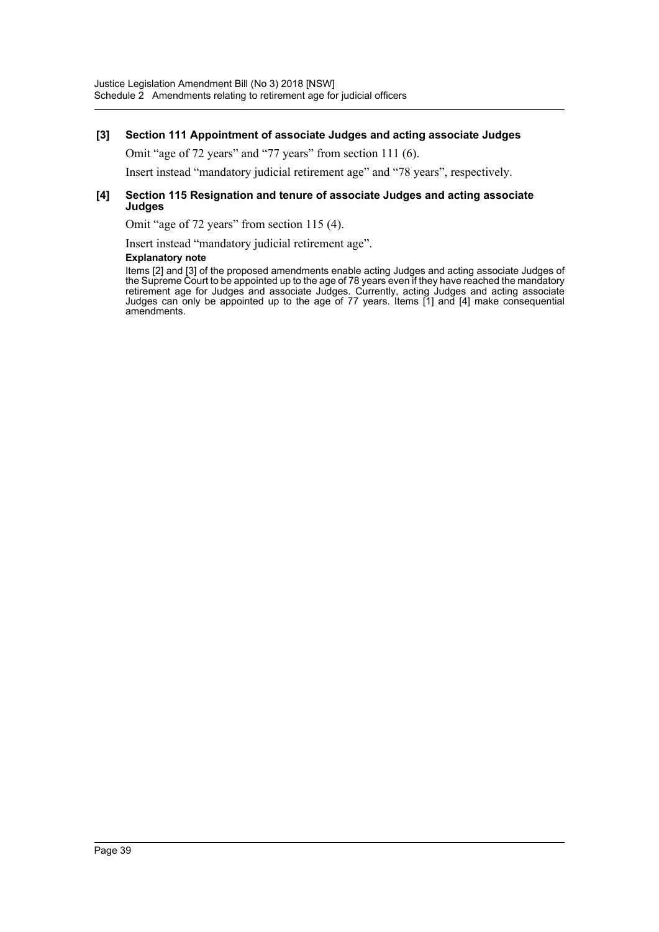## **[3] Section 111 Appointment of associate Judges and acting associate Judges**

Omit "age of 72 years" and "77 years" from section 111 (6).

Insert instead "mandatory judicial retirement age" and "78 years", respectively.

#### **[4] Section 115 Resignation and tenure of associate Judges and acting associate Judges**

Omit "age of 72 years" from section 115 (4).

Insert instead "mandatory judicial retirement age".

#### **Explanatory note**

Items [2] and [3] of the proposed amendments enable acting Judges and acting associate Judges of the Supreme Court to be appointed up to the age of 78 years even if they have reached the mandatory retirement age for Judges and associate Judges. Currently, acting Judges and acting associate Judges can only be appointed up to the age of 77 years. Items [1] and [4] make consequential amendments.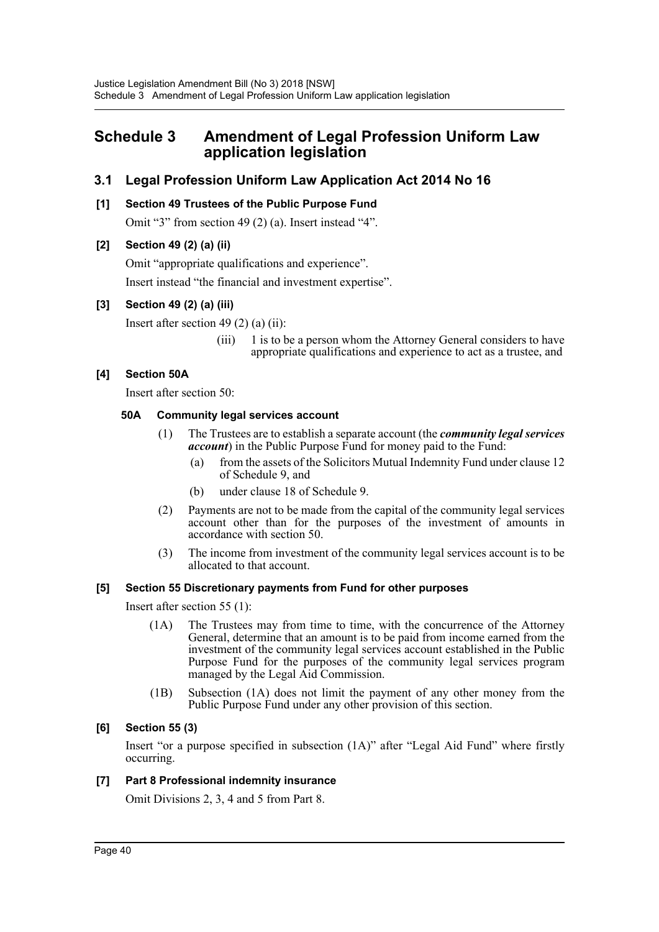# <span id="page-40-0"></span>**Schedule 3 Amendment of Legal Profession Uniform Law application legislation**

# **3.1 Legal Profession Uniform Law Application Act 2014 No 16**

# **[1] Section 49 Trustees of the Public Purpose Fund**

Omit "3" from section 49 (2) (a). Insert instead "4".

# **[2] Section 49 (2) (a) (ii)**

Omit "appropriate qualifications and experience".

Insert instead "the financial and investment expertise".

# **[3] Section 49 (2) (a) (iii)**

Insert after section 49  $(2)$  (a) (ii):

(iii) 1 is to be a person whom the Attorney General considers to have appropriate qualifications and experience to act as a trustee, and

# **[4] Section 50A**

Insert after section 50:

## **50A Community legal services account**

- (1) The Trustees are to establish a separate account (the *community legal services account*) in the Public Purpose Fund for money paid to the Fund:
	- (a) from the assets of the Solicitors Mutual Indemnity Fund under clause 12 of Schedule 9, and
	- (b) under clause 18 of Schedule 9.
- (2) Payments are not to be made from the capital of the community legal services account other than for the purposes of the investment of amounts in accordance with section 50.
- (3) The income from investment of the community legal services account is to be allocated to that account.

# **[5] Section 55 Discretionary payments from Fund for other purposes**

Insert after section 55 (1):

- (1A) The Trustees may from time to time, with the concurrence of the Attorney General, determine that an amount is to be paid from income earned from the investment of the community legal services account established in the Public Purpose Fund for the purposes of the community legal services program managed by the Legal Aid Commission.
- (1B) Subsection (1A) does not limit the payment of any other money from the Public Purpose Fund under any other provision of this section.

# **[6] Section 55 (3)**

Insert "or a purpose specified in subsection (1A)" after "Legal Aid Fund" where firstly occurring.

## **[7] Part 8 Professional indemnity insurance**

Omit Divisions 2, 3, 4 and 5 from Part 8.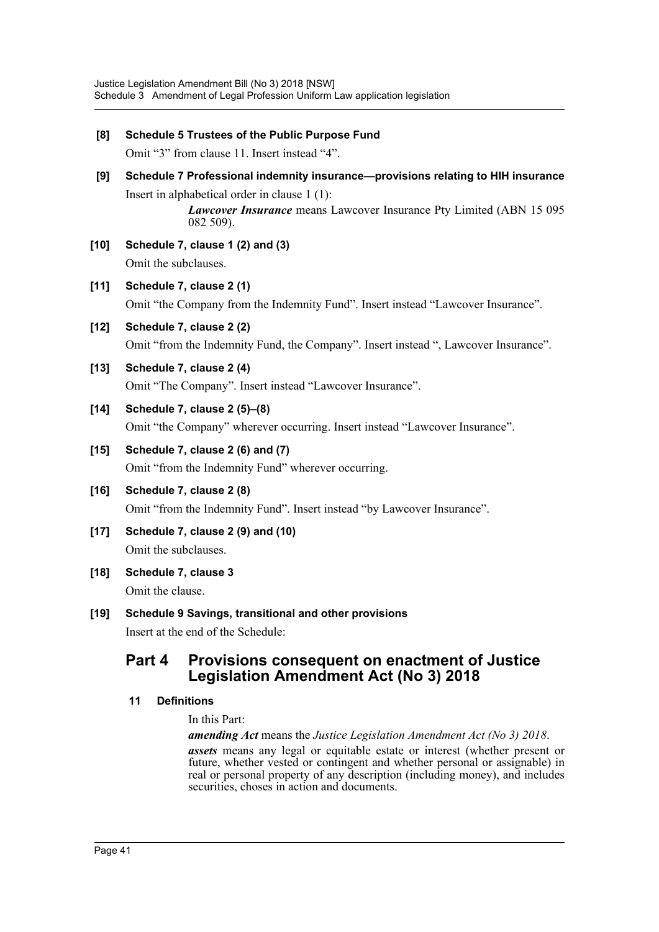| [8]    | Schedule 5 Trustees of the Public Purpose Fund<br>Omit "3" from clause 11. Insert instead "4".                                                                                                                          |                                                                                                                 |  |  |
|--------|-------------------------------------------------------------------------------------------------------------------------------------------------------------------------------------------------------------------------|-----------------------------------------------------------------------------------------------------------------|--|--|
| [9]    | Schedule 7 Professional indemnity insurance-provisions relating to HIH insurance<br>Insert in alphabetical order in clause $1(1)$ :<br>Lawcover Insurance means Lawcover Insurance Pty Limited (ABN 15 095<br>082 509). |                                                                                                                 |  |  |
| $[10]$ |                                                                                                                                                                                                                         | Schedule 7, clause 1 (2) and (3)<br>Omit the subclauses.                                                        |  |  |
| [11]   |                                                                                                                                                                                                                         | Schedule 7, clause 2 (1)<br>Omit "the Company from the Indemnity Fund". Insert instead "Lawcover Insurance".    |  |  |
| $[12]$ |                                                                                                                                                                                                                         | Schedule 7, clause 2 (2)<br>Omit "from the Indemnity Fund, the Company". Insert instead ", Lawcover Insurance". |  |  |
| $[13]$ |                                                                                                                                                                                                                         | Schedule 7, clause 2 (4)<br>Omit "The Company". Insert instead "Lawcover Insurance".                            |  |  |
| $[14]$ |                                                                                                                                                                                                                         | Schedule 7, clause 2 (5)-(8)<br>Omit "the Company" wherever occurring. Insert instead "Lawcover Insurance".     |  |  |
| $[15]$ | Schedule 7, clause 2 (6) and (7)<br>Omit "from the Indemnity Fund" wherever occurring.                                                                                                                                  |                                                                                                                 |  |  |
| $[16]$ | Schedule 7, clause 2 (8)<br>Omit "from the Indemnity Fund". Insert instead "by Lawcover Insurance".                                                                                                                     |                                                                                                                 |  |  |
| $[17]$ | Schedule 7, clause 2 (9) and (10)<br>Omit the subclauses.                                                                                                                                                               |                                                                                                                 |  |  |
| $[18]$ | Schedule 7, clause 3<br>Omit the clause.                                                                                                                                                                                |                                                                                                                 |  |  |
| $[19]$ |                                                                                                                                                                                                                         | Schedule 9 Savings, transitional and other provisions<br>Insert at the end of the Schedule:                     |  |  |
|        | Part 4                                                                                                                                                                                                                  | <b>Provisions consequent on enactment of Justice</b><br><b>Legislation Amendment Act (No 3) 2018</b>            |  |  |

# **11 Definitions**

## In this Part:

*amending Act* means the *Justice Legislation Amendment Act (No 3) 2018*.

*assets* means any legal or equitable estate or interest (whether present or future, whether vested or contingent and whether personal or assignable) in real or personal property of any description (including money), and includes securities, choses in action and documents.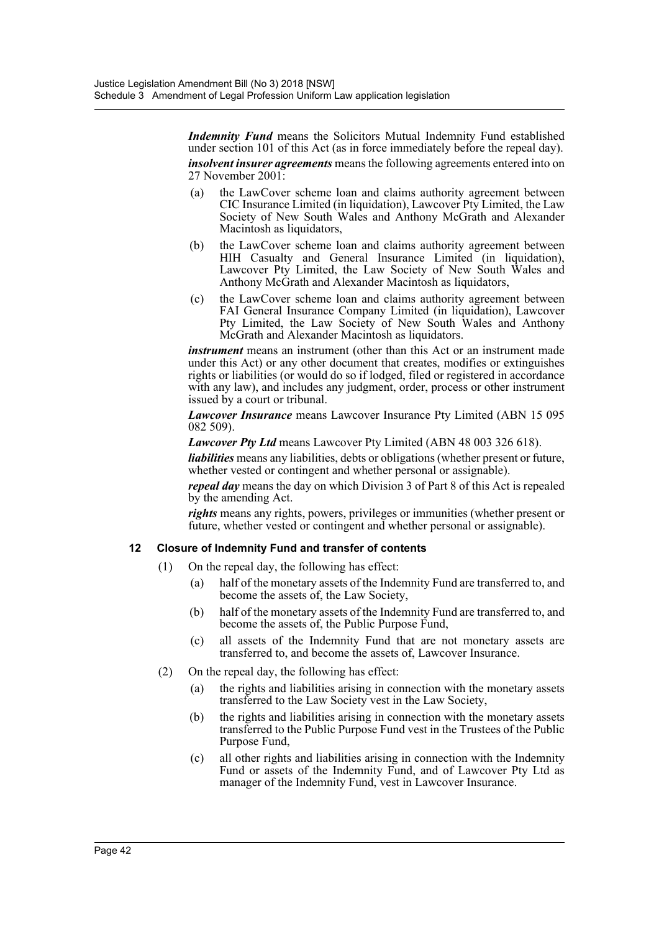*Indemnity Fund* means the Solicitors Mutual Indemnity Fund established under section 101 of this Act (as in force immediately before the repeal day). *insolvent insurer agreements* means the following agreements entered into on 27 November 2001:

(a) the LawCover scheme loan and claims authority agreement between CIC Insurance Limited (in liquidation), Lawcover Pty Limited, the Law Society of New South Wales and Anthony McGrath and Alexander Macintosh as liquidators,

- (b) the LawCover scheme loan and claims authority agreement between HIH Casualty and General Insurance Limited (in liquidation), Lawcover Pty Limited, the Law Society of New South Wales and Anthony McGrath and Alexander Macintosh as liquidators,
- (c) the LawCover scheme loan and claims authority agreement between FAI General Insurance Company Limited (in liquidation), Lawcover Pty Limited, the Law Society of New South Wales and Anthony McGrath and Alexander Macintosh as liquidators.

*instrument* means an instrument (other than this Act or an instrument made under this Act) or any other document that creates, modifies or extinguishes rights or liabilities (or would do so if lodged, filed or registered in accordance with any law), and includes any judgment, order, process or other instrument issued by a court or tribunal.

*Lawcover Insurance* means Lawcover Insurance Pty Limited (ABN 15 095 082 509).

*Lawcover Pty Ltd* means Lawcover Pty Limited (ABN 48 003 326 618).

*liabilities* means any liabilities, debts or obligations (whether present or future, whether vested or contingent and whether personal or assignable).

*repeal day* means the day on which Division 3 of Part 8 of this Act is repealed by the amending Act.

*rights* means any rights, powers, privileges or immunities (whether present or future, whether vested or contingent and whether personal or assignable).

# **12 Closure of Indemnity Fund and transfer of contents**

- (1) On the repeal day, the following has effect:
	- (a) half of the monetary assets of the Indemnity Fund are transferred to, and become the assets of, the Law Society,
	- (b) half of the monetary assets of the Indemnity Fund are transferred to, and become the assets of, the Public Purpose Fund,
	- (c) all assets of the Indemnity Fund that are not monetary assets are transferred to, and become the assets of, Lawcover Insurance.
- (2) On the repeal day, the following has effect:
	- (a) the rights and liabilities arising in connection with the monetary assets transferred to the Law Society vest in the Law Society,
	- (b) the rights and liabilities arising in connection with the monetary assets transferred to the Public Purpose Fund vest in the Trustees of the Public Purpose Fund,
	- (c) all other rights and liabilities arising in connection with the Indemnity Fund or assets of the Indemnity Fund, and of Lawcover Pty Ltd as manager of the Indemnity Fund, vest in Lawcover Insurance.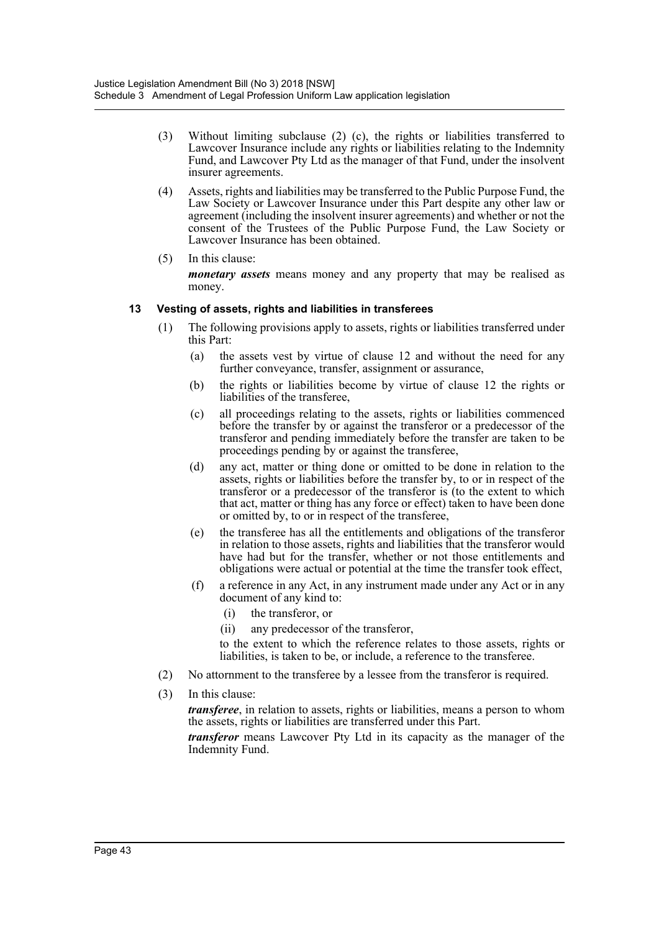- (3) Without limiting subclause (2) (c), the rights or liabilities transferred to Lawcover Insurance include any rights or liabilities relating to the Indemnity Fund, and Lawcover Pty Ltd as the manager of that Fund, under the insolvent insurer agreements.
- (4) Assets, rights and liabilities may be transferred to the Public Purpose Fund, the Law Society or Lawcover Insurance under this Part despite any other law or agreement (including the insolvent insurer agreements) and whether or not the consent of the Trustees of the Public Purpose Fund, the Law Society or Lawcover Insurance has been obtained.
- (5) In this clause: *monetary assets* means money and any property that may be realised as money.

## **13 Vesting of assets, rights and liabilities in transferees**

- (1) The following provisions apply to assets, rights or liabilities transferred under this Part:
	- (a) the assets vest by virtue of clause 12 and without the need for any further conveyance, transfer, assignment or assurance,
	- (b) the rights or liabilities become by virtue of clause 12 the rights or liabilities of the transferee.
	- (c) all proceedings relating to the assets, rights or liabilities commenced before the transfer by or against the transferor or a predecessor of the transferor and pending immediately before the transfer are taken to be proceedings pending by or against the transferee,
	- (d) any act, matter or thing done or omitted to be done in relation to the assets, rights or liabilities before the transfer by, to or in respect of the transferor or a predecessor of the transferor is (to the extent to which that act, matter or thing has any force or effect) taken to have been done or omitted by, to or in respect of the transferee,
	- (e) the transferee has all the entitlements and obligations of the transferor in relation to those assets, rights and liabilities that the transferor would have had but for the transfer, whether or not those entitlements and obligations were actual or potential at the time the transfer took effect,
	- (f) a reference in any Act, in any instrument made under any Act or in any document of any kind to:
		- (i) the transferor, or
		- (ii) any predecessor of the transferor,

to the extent to which the reference relates to those assets, rights or liabilities, is taken to be, or include, a reference to the transferee.

- (2) No attornment to the transferee by a lessee from the transferor is required.
- (3) In this clause:

*transferee*, in relation to assets, rights or liabilities, means a person to whom the assets, rights or liabilities are transferred under this Part.

*transferor* means Lawcover Pty Ltd in its capacity as the manager of the Indemnity Fund.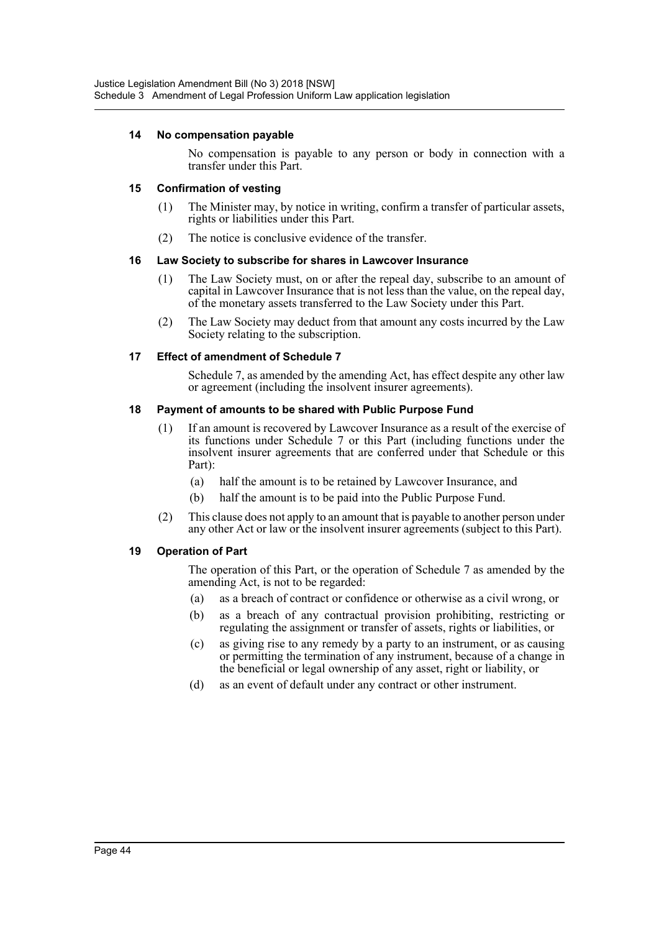## **14 No compensation payable**

No compensation is payable to any person or body in connection with a transfer under this Part.

## **15 Confirmation of vesting**

- (1) The Minister may, by notice in writing, confirm a transfer of particular assets, rights or liabilities under this Part.
- (2) The notice is conclusive evidence of the transfer.

## **16 Law Society to subscribe for shares in Lawcover Insurance**

- (1) The Law Society must, on or after the repeal day, subscribe to an amount of capital in Lawcover Insurance that is not less than the value, on the repeal day, of the monetary assets transferred to the Law Society under this Part.
- (2) The Law Society may deduct from that amount any costs incurred by the Law Society relating to the subscription.

## **17 Effect of amendment of Schedule 7**

Schedule 7, as amended by the amending Act, has effect despite any other law or agreement (including the insolvent insurer agreements).

## **18 Payment of amounts to be shared with Public Purpose Fund**

- (1) If an amount is recovered by Lawcover Insurance as a result of the exercise of its functions under Schedule 7 or this Part (including functions under the insolvent insurer agreements that are conferred under that Schedule or this Part):
	- (a) half the amount is to be retained by Lawcover Insurance, and
	- (b) half the amount is to be paid into the Public Purpose Fund.
- (2) This clause does not apply to an amount that is payable to another person under any other Act or law or the insolvent insurer agreements (subject to this Part).

## **19 Operation of Part**

The operation of this Part, or the operation of Schedule 7 as amended by the amending Act, is not to be regarded:

- (a) as a breach of contract or confidence or otherwise as a civil wrong, or
- (b) as a breach of any contractual provision prohibiting, restricting or regulating the assignment or transfer of assets, rights or liabilities, or
- (c) as giving rise to any remedy by a party to an instrument, or as causing or permitting the termination of any instrument, because of a change in the beneficial or legal ownership of any asset, right or liability, or
- (d) as an event of default under any contract or other instrument.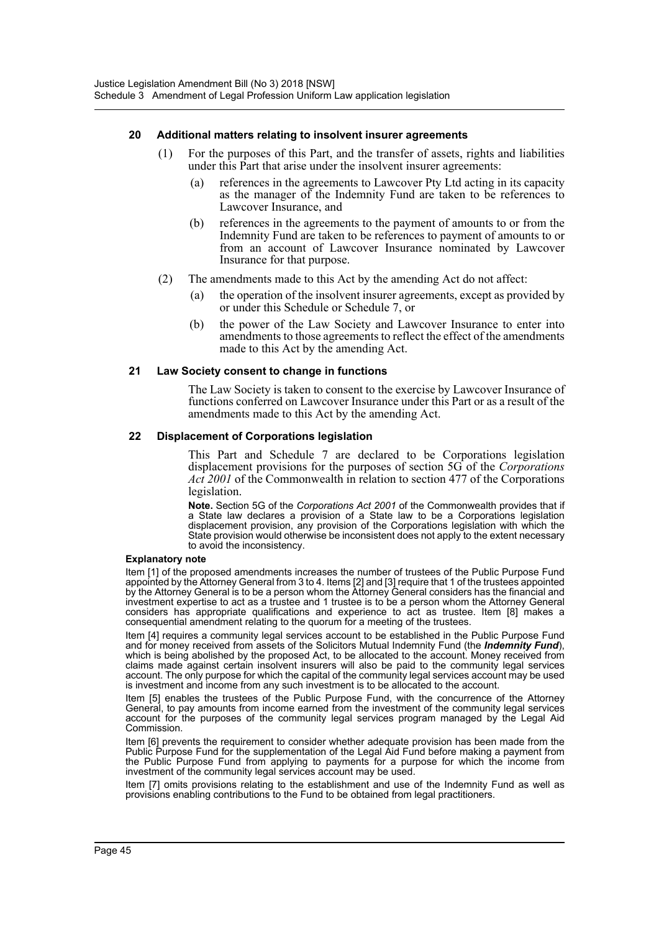#### **20 Additional matters relating to insolvent insurer agreements**

- (1) For the purposes of this Part, and the transfer of assets, rights and liabilities under this Part that arise under the insolvent insurer agreements:
	- (a) references in the agreements to Lawcover Pty Ltd acting in its capacity as the manager of the Indemnity Fund are taken to be references to Lawcover Insurance, and
	- (b) references in the agreements to the payment of amounts to or from the Indemnity Fund are taken to be references to payment of amounts to or from an account of Lawcover Insurance nominated by Lawcover Insurance for that purpose.
- (2) The amendments made to this Act by the amending Act do not affect:
	- (a) the operation of the insolvent insurer agreements, except as provided by or under this Schedule or Schedule 7, or
	- (b) the power of the Law Society and Lawcover Insurance to enter into amendments to those agreements to reflect the effect of the amendments made to this Act by the amending Act.

#### **21 Law Society consent to change in functions**

The Law Society is taken to consent to the exercise by Lawcover Insurance of functions conferred on Lawcover Insurance under this Part or as a result of the amendments made to this Act by the amending Act.

#### **22 Displacement of Corporations legislation**

This Part and Schedule 7 are declared to be Corporations legislation displacement provisions for the purposes of section 5G of the *Corporations Act 2001* of the Commonwealth in relation to section 477 of the Corporations legislation.

**Note.** Section 5G of the *Corporations Act 2001* of the Commonwealth provides that if a State law declares a provision of a State law to be a Corporations legislation displacement provision, any provision of the Corporations legislation with which the State provision would otherwise be inconsistent does not apply to the extent necessary to avoid the inconsistency.

#### **Explanatory note**

Item [1] of the proposed amendments increases the number of trustees of the Public Purpose Fund appointed by the Attorney General from 3 to 4. Items [2] and [3] require that 1 of the trustees appointed by the Attorney General is to be a person whom the Attorney General considers has the financial and investment expertise to act as a trustee and 1 trustee is to be a person whom the Attorney General considers has appropriate qualifications and experience to act as trustee. Item [8] makes a consequential amendment relating to the quorum for a meeting of the trustees.

Item [4] requires a community legal services account to be established in the Public Purpose Fund and for money received from assets of the Solicitors Mutual Indemnity Fund (the *Indemnity Fund*), which is being abolished by the proposed Act, to be allocated to the account. Money received from claims made against certain insolvent insurers will also be paid to the community legal services account. The only purpose for which the capital of the community legal services account may be used is investment and income from any such investment is to be allocated to the account.

Item [5] enables the trustees of the Public Purpose Fund, with the concurrence of the Attorney General, to pay amounts from income earned from the investment of the community legal services account for the purposes of the community legal services program managed by the Legal Aid Commission.

Item [6] prevents the requirement to consider whether adequate provision has been made from the Public Purpose Fund for the supplementation of the Legal Aid Fund before making a payment from the Public Purpose Fund from applying to payments for a purpose for which the income from investment of the community legal services account may be used.

Item [7] omits provisions relating to the establishment and use of the Indemnity Fund as well as provisions enabling contributions to the Fund to be obtained from legal practitioners.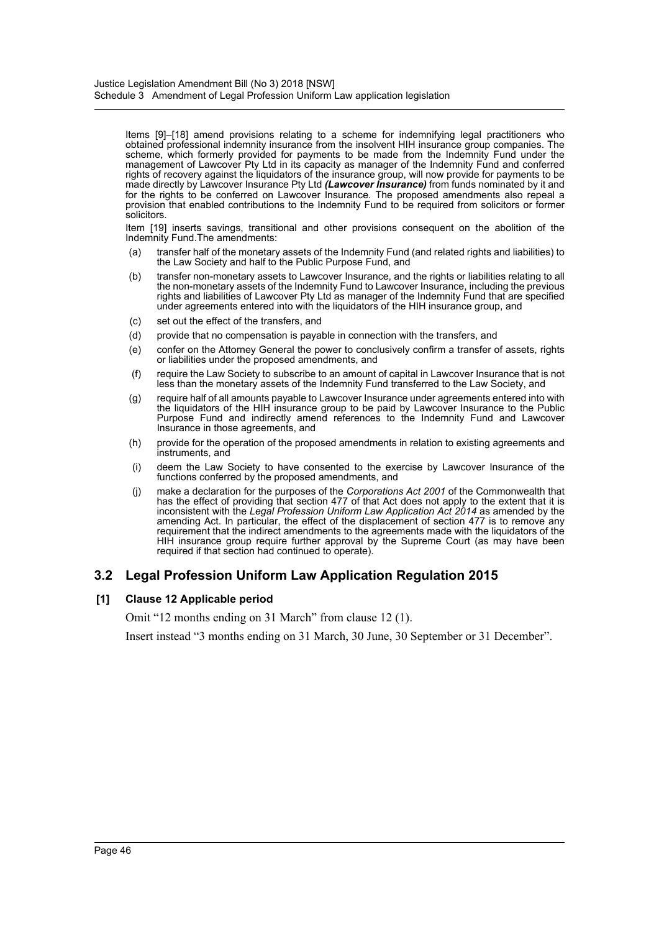Items [9]–[18] amend provisions relating to a scheme for indemnifying legal practitioners who obtained professional indemnity insurance from the insolvent HIH insurance group companies. The scheme, which formerly provided for payments to be made from the Indemnity Fund under the management of Lawcover Pty Ltd in its capacity as manager of the Indemnity Fund and conferred rights of recovery against the liquidators of the insurance group, will now provide for payments to be made directly by Lawcover Insurance Pty Ltd *(Lawcover Insurance)* from funds nominated by it and for the rights to be conferred on Lawcover Insurance. The proposed amendments also repeal a provision that enabled contributions to the Indemnity Fund to be required from solicitors or former solicitors.

Item [19] inserts savings, transitional and other provisions consequent on the abolition of the Indemnity Fund.The amendments:

- (a) transfer half of the monetary assets of the Indemnity Fund (and related rights and liabilities) to the Law Society and half to the Public Purpose Fund, and
- (b) transfer non-monetary assets to Lawcover Insurance, and the rights or liabilities relating to all the non-monetary assets of the Indemnity Fund to Lawcover Insurance, including the previous rights and liabilities of Lawcover Pty Ltd as manager of the Indemnity Fund that are specified under agreements entered into with the liquidators of the HIH insurance group, and
- (c) set out the effect of the transfers, and
- (d) provide that no compensation is payable in connection with the transfers, and
- (e) confer on the Attorney General the power to conclusively confirm a transfer of assets, rights or liabilities under the proposed amendments, and
- (f) require the Law Society to subscribe to an amount of capital in Lawcover Insurance that is not less than the monetary assets of the Indemnity Fund transferred to the Law Society, and
- (g) require half of all amounts payable to Lawcover Insurance under agreements entered into with the liquidators of the HIH insurance group to be paid by Lawcover Insurance to the Public Purpose Fund and indirectly amend references to the Indemnity Fund and Lawcover Insurance in those agreements, and
- (h) provide for the operation of the proposed amendments in relation to existing agreements and instruments, and
- (i) deem the Law Society to have consented to the exercise by Lawcover Insurance of the functions conferred by the proposed amendments, and
- (j) make a declaration for the purposes of the *Corporations Act 2001* of the Commonwealth that has the effect of providing that section 477 of that Act does not apply to the extent that it is inconsistent with the *Legal Profession Uniform Law Application Act 2014* as amended by the amending Act. In particular, the effect of the displacement of section 477 is to remove any requirement that the indirect amendments to the agreements made with the liquidators of the HIH insurance group require further approval by the Supreme Court (as may have been required if that section had continued to operate).

# **3.2 Legal Profession Uniform Law Application Regulation 2015**

## **[1] Clause 12 Applicable period**

Omit "12 months ending on 31 March" from clause 12 (1).

Insert instead "3 months ending on 31 March, 30 June, 30 September or 31 December".